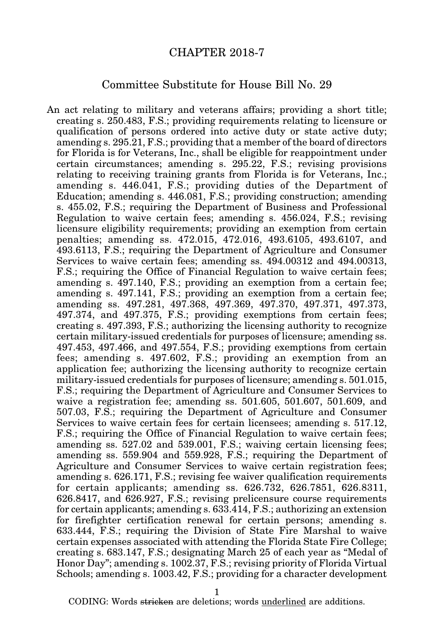## CHAPTER 2018-7

## Committee Substitute for House Bill No. 29

An act relating to military and veterans affairs; providing a short title; creating s. 250.483, F.S.; providing requirements relating to licensure or qualification of persons ordered into active duty or state active duty; amending s. 295.21, F.S.; providing that a member of the board of directors for Florida is for Veterans, Inc., shall be eligible for reappointment under certain circumstances; amending s. 295.22, F.S.; revising provisions relating to receiving training grants from Florida is for Veterans, Inc.; amending s. 446.041, F.S.; providing duties of the Department of Education; amending s. 446.081, F.S.; providing construction; amending s. 455.02, F.S.; requiring the Department of Business and Professional Regulation to waive certain fees; amending s. 456.024, F.S.; revising licensure eligibility requirements; providing an exemption from certain penalties; amending ss. 472.015, 472.016, 493.6105, 493.6107, and 493.6113, F.S.; requiring the Department of Agriculture and Consumer Services to waive certain fees; amending ss. 494.00312 and 494.00313, F.S.; requiring the Office of Financial Regulation to waive certain fees; amending s. 497.140, F.S.; providing an exemption from a certain fee; amending s. 497.141, F.S.; providing an exemption from a certain fee; amending ss. 497.281, 497.368, 497.369, 497.370, 497.371, 497.373, 497.374, and 497.375, F.S.; providing exemptions from certain fees; creating s. 497.393, F.S.; authorizing the licensing authority to recognize certain military-issued credentials for purposes of licensure; amending ss. 497.453, 497.466, and 497.554, F.S.; providing exemptions from certain fees; amending s. 497.602, F.S.; providing an exemption from an application fee; authorizing the licensing authority to recognize certain military-issued credentials for purposes of licensure; amending s. 501.015, F.S.; requiring the Department of Agriculture and Consumer Services to waive a registration fee; amending ss. 501.605, 501.607, 501.609, and 507.03, F.S.; requiring the Department of Agriculture and Consumer Services to waive certain fees for certain licensees; amending s. 517.12, F.S.; requiring the Office of Financial Regulation to waive certain fees; amending ss. 527.02 and 539.001, F.S.; waiving certain licensing fees; amending ss. 559.904 and 559.928, F.S.; requiring the Department of Agriculture and Consumer Services to waive certain registration fees; amending s. 626.171, F.S.; revising fee waiver qualification requirements for certain applicants; amending ss. 626.732, 626.7851, 626.8311, 626.8417, and 626.927, F.S.; revising prelicensure course requirements for certain applicants; amending s. 633.414, F.S.; authorizing an extension for firefighter certification renewal for certain persons; amending s. 633.444, F.S.; requiring the Division of State Fire Marshal to waive certain expenses associated with attending the Florida State Fire College; creating s. 683.147, F.S.; designating March 25 of each year as "Medal of Honor Day"; amending s. 1002.37, F.S.; revising priority of Florida Virtual Schools; amending s. 1003.42, F.S.; providing for a character development

1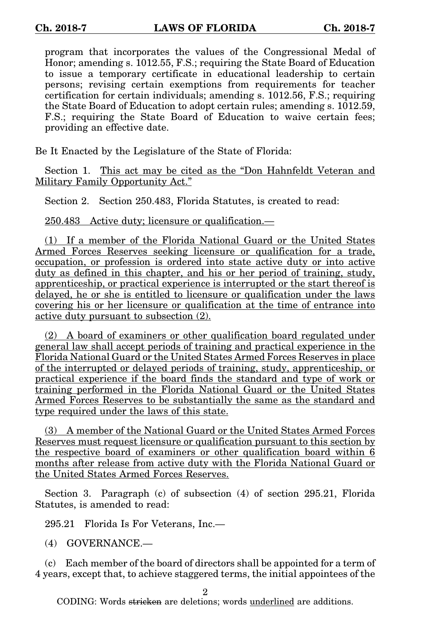program that incorporates the values of the Congressional Medal of Honor; amending s. 1012.55, F.S.; requiring the State Board of Education to issue a temporary certificate in educational leadership to certain persons; revising certain exemptions from requirements for teacher certification for certain individuals; amending s. 1012.56, F.S.; requiring the State Board of Education to adopt certain rules; amending s. 1012.59, F.S.; requiring the State Board of Education to waive certain fees; providing an effective date.

Be It Enacted by the Legislature of the State of Florida:

Section 1. This act may be cited as the "Don Hahnfeldt Veteran and Military Family Opportunity Act."

Section 2. Section 250.483, Florida Statutes, is created to read:

250.483 Active duty; licensure or qualification.—

(1) If a member of the Florida National Guard or the United States Armed Forces Reserves seeking licensure or qualification for a trade, occupation, or profession is ordered into state active duty or into active duty as defined in this chapter, and his or her period of training, study, apprenticeship, or practical experience is interrupted or the start thereof is delayed, he or she is entitled to licensure or qualification under the laws covering his or her licensure or qualification at the time of entrance into active duty pursuant to subsection (2).

(2) A board of examiners or other qualification board regulated under general law shall accept periods of training and practical experience in the Florida National Guard or the United States Armed Forces Reserves in place of the interrupted or delayed periods of training, study, apprenticeship, or practical experience if the board finds the standard and type of work or training performed in the Florida National Guard or the United States Armed Forces Reserves to be substantially the same as the standard and type required under the laws of this state.

(3) A member of the National Guard or the United States Armed Forces Reserves must request licensure or qualification pursuant to this section by the respective board of examiners or other qualification board within 6 months after release from active duty with the Florida National Guard or the United States Armed Forces Reserves.

Section 3. Paragraph (c) of subsection (4) of section 295.21, Florida Statutes, is amended to read:

295.21 Florida Is For Veterans, Inc.—

(4) GOVERNANCE.—

(c) Each member of the board of directors shall be appointed for a term of 4 years, except that, to achieve staggered terms, the initial appointees of the

2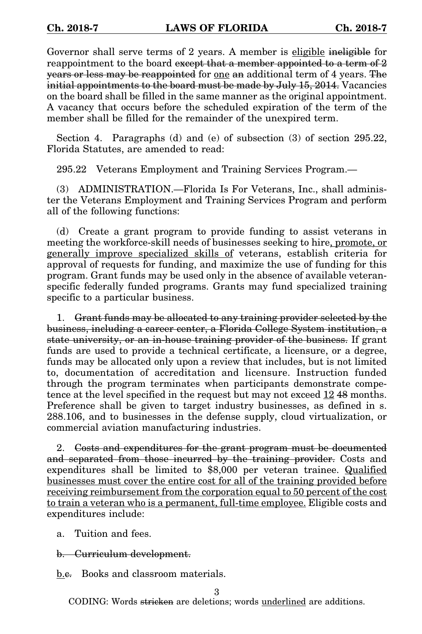Governor shall serve terms of 2 years. A member is eligible ineligible for reappointment to the board except that a member appointed to a term of 2 years or less may be reappointed for one an additional term of 4 years. The initial appointments to the board must be made by July 15, 2014. Vacancies on the board shall be filled in the same manner as the original appointment. A vacancy that occurs before the scheduled expiration of the term of the member shall be filled for the remainder of the unexpired term.

Section 4. Paragraphs (d) and (e) of subsection (3) of section 295.22, Florida Statutes, are amended to read:

295.22 Veterans Employment and Training Services Program.—

(3) ADMINISTRATION.—Florida Is For Veterans, Inc., shall administer the Veterans Employment and Training Services Program and perform all of the following functions:

(d) Create a grant program to provide funding to assist veterans in meeting the workforce-skill needs of businesses seeking to hire, promote, or generally improve specialized skills of veterans, establish criteria for approval of requests for funding, and maximize the use of funding for this program. Grant funds may be used only in the absence of available veteranspecific federally funded programs. Grants may fund specialized training specific to a particular business.

1. Grant funds may be allocated to any training provider selected by the business, including a career center, a Florida College System institution, a state university, or an in-house training provider of the business. If grant funds are used to provide a technical certificate, a licensure, or a degree, funds may be allocated only upon a review that includes, but is not limited to, documentation of accreditation and licensure. Instruction funded through the program terminates when participants demonstrate competence at the level specified in the request but may not exceed 12 48 months. Preference shall be given to target industry businesses, as defined in s. 288.106, and to businesses in the defense supply, cloud virtualization, or commercial aviation manufacturing industries.

2. Costs and expenditures for the grant program must be documented and separated from those incurred by the training provider. Costs and expenditures shall be limited to \$8,000 per veteran trainee. Qualified businesses must cover the entire cost for all of the training provided before receiving reimbursement from the corporation equal to 50 percent of the cost to train a veteran who is a permanent, full-time employee. Eligible costs and expenditures include:

- a. Tuition and fees.
- b. Curriculum development.

b.e. Books and classroom materials.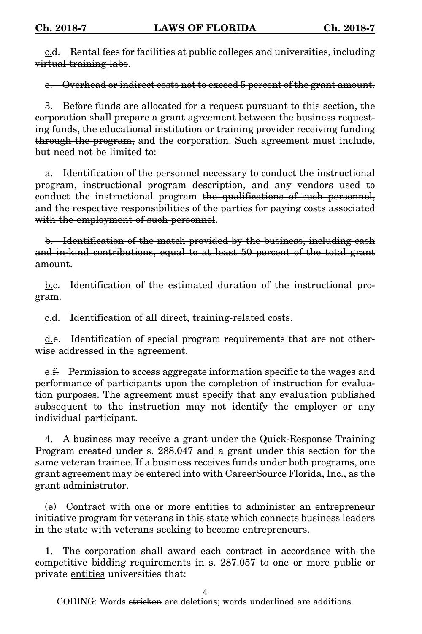c.d. Rental fees for facilities at public colleges and universities, including virtual training labs.

e. Overhead or indirect costs not to exceed 5 percent of the grant amount.

3. Before funds are allocated for a request pursuant to this section, the corporation shall prepare a grant agreement between the business requesting funds, the educational institution or training provider receiving funding through the program, and the corporation. Such agreement must include, but need not be limited to:

a. Identification of the personnel necessary to conduct the instructional program, instructional program description, and any vendors used to conduct the instructional program the qualifications of such personnel, and the respective responsibilities of the parties for paying costs associated with the employment of such personnel.

b. Identification of the match provided by the business, including cash and in-kind contributions, equal to at least 50 percent of the total grant amount.

b.e. Identification of the estimated duration of the instructional program.

c.d. Identification of all direct, training-related costs.

d.e. Identification of special program requirements that are not otherwise addressed in the agreement.

e.f. Permission to access aggregate information specific to the wages and performance of participants upon the completion of instruction for evaluation purposes. The agreement must specify that any evaluation published subsequent to the instruction may not identify the employer or any individual participant.

4. A business may receive a grant under the Quick-Response Training Program created under s. 288.047 and a grant under this section for the same veteran trainee. If a business receives funds under both programs, one grant agreement may be entered into with CareerSource Florida, Inc., as the grant administrator.

(e) Contract with one or more entities to administer an entrepreneur initiative program for veterans in this state which connects business leaders in the state with veterans seeking to become entrepreneurs.

1. The corporation shall award each contract in accordance with the competitive bidding requirements in s. 287.057 to one or more public or private entities universities that:

4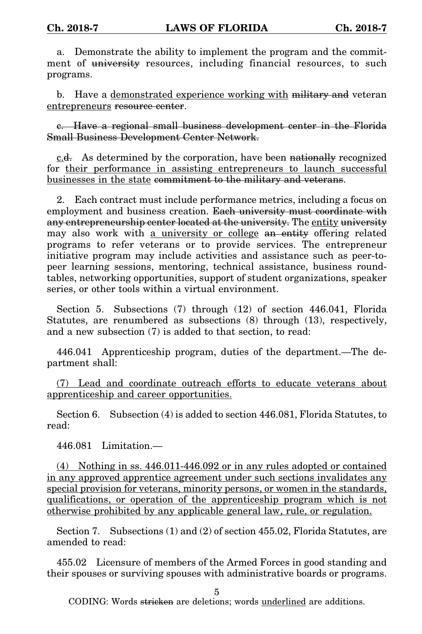a. Demonstrate the ability to implement the program and the commitment of university resources, including financial resources, to such programs.

b. Have a demonstrated experience working with military and veteran entrepreneurs resource center.

c. Have a regional small business development center in the Florida Small Business Development Center Network.

c.d. As determined by the corporation, have been nationally recognized for their performance in assisting entrepreneurs to launch successful businesses in the state commitment to the military and veterans.

2. Each contract must include performance metrics, including a focus on employment and business creation. Each university must coordinate with any entrepreneurship center located at the university. The entity university may also work with a university or college an entity offering related programs to refer veterans or to provide services. The entrepreneur initiative program may include activities and assistance such as peer-topeer learning sessions, mentoring, technical assistance, business roundtables, networking opportunities, support of student organizations, speaker series, or other tools within a virtual environment.

Section 5. Subsections (7) through (12) of section 446.041, Florida Statutes, are renumbered as subsections (8) through (13), respectively, and a new subsection (7) is added to that section, to read:

446.041 Apprenticeship program, duties of the department.—The department shall:

(7) Lead and coordinate outreach efforts to educate veterans about apprenticeship and career opportunities.

Section 6. Subsection (4) is added to section 446.081, Florida Statutes, to read:

446.081 Limitation.—

(4) Nothing in ss. 446.011-446.092 or in any rules adopted or contained in any approved apprentice agreement under such sections invalidates any special provision for veterans, minority persons, or women in the standards, qualifications, or operation of the apprenticeship program which is not otherwise prohibited by any applicable general law, rule, or regulation.

Section 7. Subsections (1) and (2) of section 455.02, Florida Statutes, are amended to read:

455.02 Licensure of members of the Armed Forces in good standing and their spouses or surviving spouses with administrative boards or programs.

5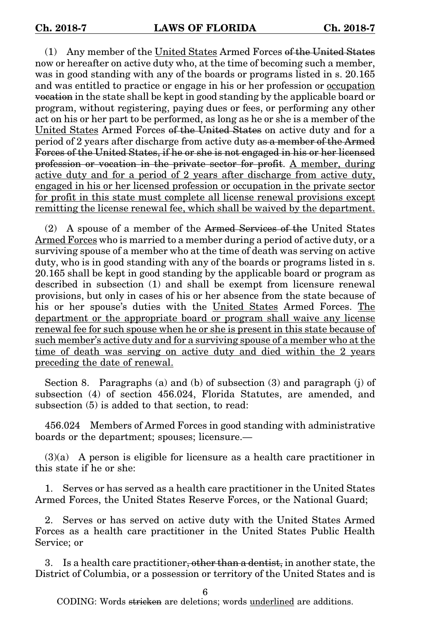(1) Any member of the United States Armed Forces of the United States now or hereafter on active duty who, at the time of becoming such a member, was in good standing with any of the boards or programs listed in s. 20.165 and was entitled to practice or engage in his or her profession or occupation vocation in the state shall be kept in good standing by the applicable board or program, without registering, paying dues or fees, or performing any other act on his or her part to be performed, as long as he or she is a member of the United States Armed Forces of the United States on active duty and for a period of 2 years after discharge from active duty as a member of the Armed Forces of the United States, if he or she is not engaged in his or her licensed profession or vocation in the private sector for profit. A member, during active duty and for a period of 2 years after discharge from active duty, engaged in his or her licensed profession or occupation in the private sector for profit in this state must complete all license renewal provisions except remitting the license renewal fee, which shall be waived by the department.

(2) A spouse of a member of the Armed Services of the United States Armed Forces who is married to a member during a period of active duty, or a surviving spouse of a member who at the time of death was serving on active duty, who is in good standing with any of the boards or programs listed in s. 20.165 shall be kept in good standing by the applicable board or program as described in subsection (1) and shall be exempt from licensure renewal provisions, but only in cases of his or her absence from the state because of his or her spouse's duties with the United States Armed Forces. The department or the appropriate board or program shall waive any license renewal fee for such spouse when he or she is present in this state because of such member's active duty and for a surviving spouse of a member who at the time of death was serving on active duty and died within the 2 years preceding the date of renewal.

Section 8. Paragraphs (a) and (b) of subsection (3) and paragraph (j) of subsection (4) of section 456.024, Florida Statutes, are amended, and subsection (5) is added to that section, to read:

456.024 Members of Armed Forces in good standing with administrative boards or the department; spouses; licensure.—

(3)(a) A person is eligible for licensure as a health care practitioner in this state if he or she:

1. Serves or has served as a health care practitioner in the United States Armed Forces, the United States Reserve Forces, or the National Guard;

2. Serves or has served on active duty with the United States Armed Forces as a health care practitioner in the United States Public Health Service; or

3. Is a health care practitioner, other than a dentist, in another state, the District of Columbia, or a possession or territory of the United States and is

6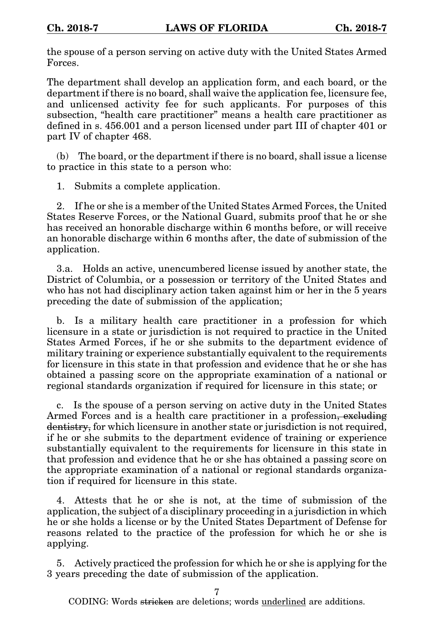the spouse of a person serving on active duty with the United States Armed Forces.

The department shall develop an application form, and each board, or the department if there is no board, shall waive the application fee, licensure fee, and unlicensed activity fee for such applicants. For purposes of this subsection, "health care practitioner" means a health care practitioner as defined in s. 456.001 and a person licensed under part III of chapter 401 or part IV of chapter 468.

(b) The board, or the department if there is no board, shall issue a license to practice in this state to a person who:

1. Submits a complete application.

2. If he or she is a member of the United States Armed Forces, the United States Reserve Forces, or the National Guard, submits proof that he or she has received an honorable discharge within 6 months before, or will receive an honorable discharge within 6 months after, the date of submission of the application.

3.a. Holds an active, unencumbered license issued by another state, the District of Columbia, or a possession or territory of the United States and who has not had disciplinary action taken against him or her in the 5 years preceding the date of submission of the application;

b. Is a military health care practitioner in a profession for which licensure in a state or jurisdiction is not required to practice in the United States Armed Forces, if he or she submits to the department evidence of military training or experience substantially equivalent to the requirements for licensure in this state in that profession and evidence that he or she has obtained a passing score on the appropriate examination of a national or regional standards organization if required for licensure in this state; or

c. Is the spouse of a person serving on active duty in the United States Armed Forces and is a health care practitioner in a profession, excluding dentistry, for which licensure in another state or jurisdiction is not required, if he or she submits to the department evidence of training or experience substantially equivalent to the requirements for licensure in this state in that profession and evidence that he or she has obtained a passing score on the appropriate examination of a national or regional standards organization if required for licensure in this state.

4. Attests that he or she is not, at the time of submission of the application, the subject of a disciplinary proceeding in a jurisdiction in which he or she holds a license or by the United States Department of Defense for reasons related to the practice of the profession for which he or she is applying.

5. Actively practiced the profession for which he or she is applying for the 3 years preceding the date of submission of the application.

7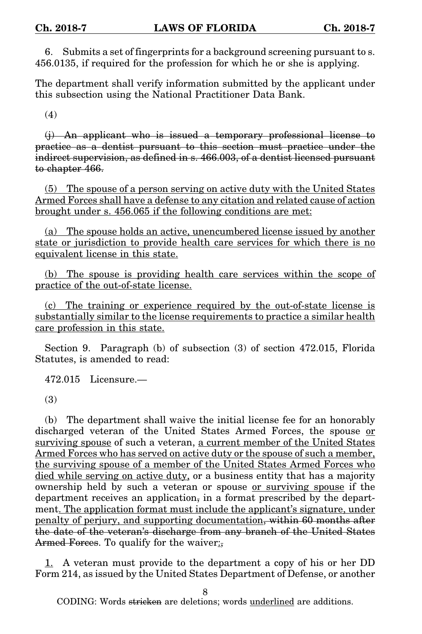6. Submits a set of fingerprints for a background screening pursuant to s. 456.0135, if required for the profession for which he or she is applying.

The department shall verify information submitted by the applicant under this subsection using the National Practitioner Data Bank.

(4)

(j) An applicant who is issued a temporary professional license to practice as a dentist pursuant to this section must practice under the indirect supervision, as defined in s. 466.003, of a dentist licensed pursuant to chapter 466.

(5) The spouse of a person serving on active duty with the United States Armed Forces shall have a defense to any citation and related cause of action brought under s. 456.065 if the following conditions are met:

(a) The spouse holds an active, unencumbered license issued by another state or jurisdiction to provide health care services for which there is no equivalent license in this state.

(b) The spouse is providing health care services within the scope of practice of the out-of-state license.

(c) The training or experience required by the out-of-state license is substantially similar to the license requirements to practice a similar health care profession in this state.

Section 9. Paragraph (b) of subsection (3) of section 472.015, Florida Statutes, is amended to read:

472.015 Licensure.—

(3)

(b) The department shall waive the initial license fee for an honorably discharged veteran of the United States Armed Forces, the spouse or surviving spouse of such a veteran, a current member of the United States Armed Forces who has served on active duty or the spouse of such a member, the surviving spouse of a member of the United States Armed Forces who died while serving on active duty, or a business entity that has a majority ownership held by such a veteran or spouse or surviving spouse if the department receives an application, in a format prescribed by the department. The application format must include the applicant's signature, under penalty of perjury, and supporting documentation, within 60 months after the date of the veteran's discharge from any branch of the United States Armed Forces. To qualify for the waiver:

1. A veteran must provide to the department a copy of his or her DD Form 214, as issued by the United States Department of Defense, or another

8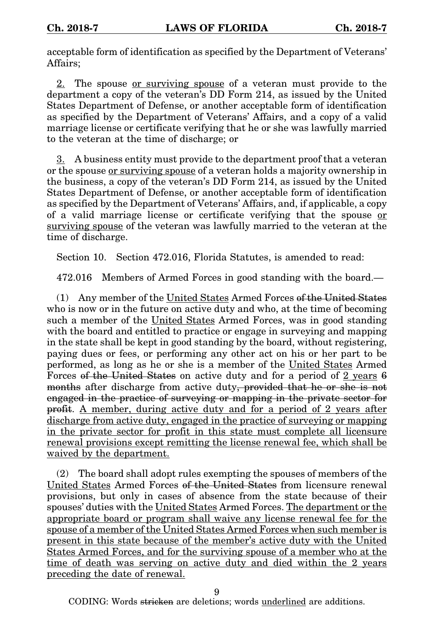acceptable form of identification as specified by the Department of Veterans' Affairs;

2. The spouse <u>or surviving spouse</u> of a veteran must provide to the department a copy of the veteran's DD Form 214, as issued by the United States Department of Defense, or another acceptable form of identification as specified by the Department of Veterans' Affairs, and a copy of a valid marriage license or certificate verifying that he or she was lawfully married to the veteran at the time of discharge; or

3. A business entity must provide to the department proof that a veteran or the spouse or surviving spouse of a veteran holds a majority ownership in the business, a copy of the veteran's DD Form 214, as issued by the United States Department of Defense, or another acceptable form of identification as specified by the Department of Veterans' Affairs, and, if applicable, a copy of a valid marriage license or certificate verifying that the spouse or surviving spouse of the veteran was lawfully married to the veteran at the time of discharge.

Section 10. Section 472.016, Florida Statutes, is amended to read:

472.016 Members of Armed Forces in good standing with the board.—

(1) Any member of the United States Armed Forces of the United States who is now or in the future on active duty and who, at the time of becoming such a member of the United States Armed Forces, was in good standing with the board and entitled to practice or engage in surveying and mapping in the state shall be kept in good standing by the board, without registering, paying dues or fees, or performing any other act on his or her part to be performed, as long as he or she is a member of the United States Armed Forces of the United States on active duty and for a period of 2 years 6 months after discharge from active duty, provided that he or she is not engaged in the practice of surveying or mapping in the private sector for profit. A member, during active duty and for a period of 2 years after discharge from active duty, engaged in the practice of surveying or mapping in the private sector for profit in this state must complete all licensure renewal provisions except remitting the license renewal fee, which shall be waived by the department.

(2) The board shall adopt rules exempting the spouses of members of the United States Armed Forces of the United States from licensure renewal provisions, but only in cases of absence from the state because of their spouses' duties with the United States Armed Forces. The department or the appropriate board or program shall waive any license renewal fee for the spouse of a member of the United States Armed Forces when such member is present in this state because of the member's active duty with the United States Armed Forces, and for the surviving spouse of a member who at the time of death was serving on active duty and died within the 2 years preceding the date of renewal.

 $\mathbf Q$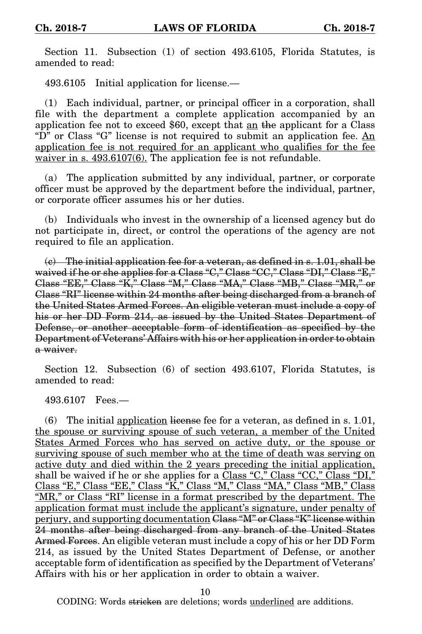Section 11. Subsection (1) of section 493.6105, Florida Statutes, is amended to read:

493.6105 Initial application for license.—

(1) Each individual, partner, or principal officer in a corporation, shall file with the department a complete application accompanied by an application fee not to exceed \$60, except that  $\underline{\text{an}}$  the applicant for a Class "D" or Class "G" license is not required to submit an application fee. An application fee is not required for an applicant who qualifies for the fee waiver in s. 493.6107(6). The application fee is not refundable.

(a) The application submitted by any individual, partner, or corporate officer must be approved by the department before the individual, partner, or corporate officer assumes his or her duties.

(b) Individuals who invest in the ownership of a licensed agency but do not participate in, direct, or control the operations of the agency are not required to file an application.

 $\langle e \rangle$  The initial application fee for a veteran, as defined in s. 1.01, shall be waived if he or she applies for a Class "C," Class "CC," Class "DI," Class "E," Class "EE," Class "K," Class "M," Class "MA," Class "MB," Class "MR," or Class "RI" license within 24 months after being discharged from a branch of the United States Armed Forces. An eligible veteran must include a copy of his or her DD Form 214, as issued by the United States Department of Defense, or another acceptable form of identification as specified by the Department of Veterans' Affairs with his or her application in order to obtain a waiver.

Section 12. Subsection (6) of section 493.6107, Florida Statutes, is amended to read:

493.6107 Fees.—

(6) The initial application license fee for a veteran, as defined in s. 1.01, the spouse or surviving spouse of such veteran, a member of the United States Armed Forces who has served on active duty, or the spouse or surviving spouse of such member who at the time of death was serving on active duty and died within the 2 years preceding the initial application, shall be waived if he or she applies for a Class "C," Class "CC," Class "DI," Class "E," Class "EE," Class "K," Class "M," Class "MA," Class "MB," Class "MR," or Class "RI" license in a format prescribed by the department. The application format must include the applicant's signature, under penalty of perjury, and supporting documentation Class "M" or Class "K" license within 24 months after being discharged from any branch of the United States Armed Forces. An eligible veteran must include a copy of his or her DD Form 214, as issued by the United States Department of Defense, or another acceptable form of identification as specified by the Department of Veterans' Affairs with his or her application in order to obtain a waiver.

10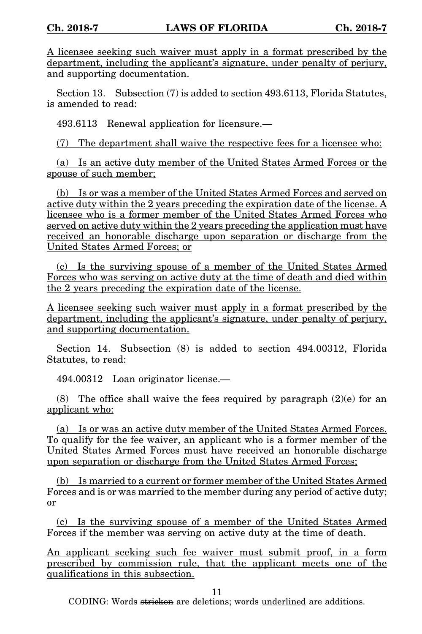A licensee seeking such waiver must apply in a format prescribed by the department, including the applicant's signature, under penalty of perjury, and supporting documentation.

Section 13. Subsection (7) is added to section 493.6113, Florida Statutes, is amended to read:

493.6113 Renewal application for licensure.—

(7) The department shall waive the respective fees for a licensee who:

(a) Is an active duty member of the United States Armed Forces or the spouse of such member;

(b) Is or was a member of the United States Armed Forces and served on active duty within the 2 years preceding the expiration date of the license. A licensee who is a former member of the United States Armed Forces who served on active duty within the 2 years preceding the application must have received an honorable discharge upon separation or discharge from the United States Armed Forces; or

(c) Is the surviving spouse of a member of the United States Armed Forces who was serving on active duty at the time of death and died within the 2 years preceding the expiration date of the license.

A licensee seeking such waiver must apply in a format prescribed by the department, including the applicant's signature, under penalty of perjury, and supporting documentation.

Section 14. Subsection (8) is added to section 494.00312, Florida Statutes, to read:

494.00312 Loan originator license.—

(8) The office shall waive the fees required by paragraph  $(2)(e)$  for an applicant who:

(a) Is or was an active duty member of the United States Armed Forces. To qualify for the fee waiver, an applicant who is a former member of the United States Armed Forces must have received an honorable discharge upon separation or discharge from the United States Armed Forces;

(b) Is married to a current or former member of the United States Armed Forces and is or was married to the member during any period of active duty; or

(c) Is the surviving spouse of a member of the United States Armed Forces if the member was serving on active duty at the time of death.

An applicant seeking such fee waiver must submit proof, in a form prescribed by commission rule, that the applicant meets one of the qualifications in this subsection.

11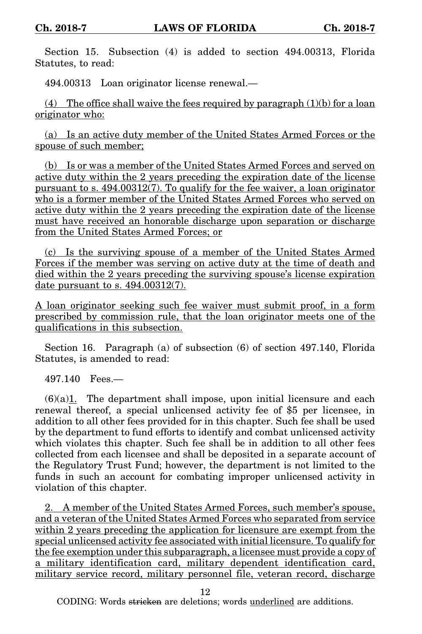Section 15. Subsection (4) is added to section 494.00313, Florida Statutes, to read:

494.00313 Loan originator license renewal.—

(4) The office shall waive the fees required by paragraph  $(1)(b)$  for a loan originator who:

(a) Is an active duty member of the United States Armed Forces or the spouse of such member;

(b) Is or was a member of the United States Armed Forces and served on active duty within the 2 years preceding the expiration date of the license pursuant to s. 494.00312(7). To qualify for the fee waiver, a loan originator who is a former member of the United States Armed Forces who served on active duty within the 2 years preceding the expiration date of the license must have received an honorable discharge upon separation or discharge from the United States Armed Forces; or

(c) Is the surviving spouse of a member of the United States Armed Forces if the member was serving on active duty at the time of death and died within the 2 years preceding the surviving spouse's license expiration date pursuant to s. 494.00312(7).

A loan originator seeking such fee waiver must submit proof, in a form prescribed by commission rule, that the loan originator meets one of the qualifications in this subsection.

Section 16. Paragraph (a) of subsection (6) of section 497.140, Florida Statutes, is amended to read:

497.140 Fees.—

 $(6)(a)1$ . The department shall impose, upon initial licensure and each renewal thereof, a special unlicensed activity fee of \$5 per licensee, in addition to all other fees provided for in this chapter. Such fee shall be used by the department to fund efforts to identify and combat unlicensed activity which violates this chapter. Such fee shall be in addition to all other fees collected from each licensee and shall be deposited in a separate account of the Regulatory Trust Fund; however, the department is not limited to the funds in such an account for combating improper unlicensed activity in violation of this chapter.

2. A member of the United States Armed Forces, such member's spouse, and a veteran of the United States Armed Forces who separated from service within 2 years preceding the application for licensure are exempt from the special unlicensed activity fee associated with initial licensure. To qualify for the fee exemption under this subparagraph, a licensee must provide a copy of a military identification card, military dependent identification card, military service record, military personnel file, veteran record, discharge

12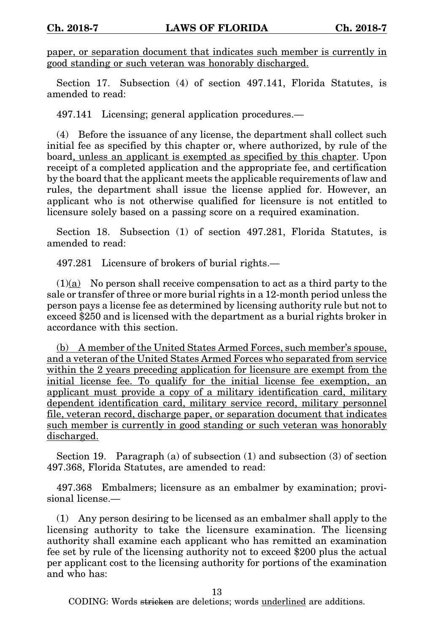paper, or separation document that indicates such member is currently in good standing or such veteran was honorably discharged.

Section 17. Subsection (4) of section 497.141, Florida Statutes, is amended to read:

497.141 Licensing; general application procedures.—

(4) Before the issuance of any license, the department shall collect such initial fee as specified by this chapter or, where authorized, by rule of the board, unless an applicant is exempted as specified by this chapter. Upon receipt of a completed application and the appropriate fee, and certification by the board that the applicant meets the applicable requirements of law and rules, the department shall issue the license applied for. However, an applicant who is not otherwise qualified for licensure is not entitled to licensure solely based on a passing score on a required examination.

Section 18. Subsection (1) of section 497.281, Florida Statutes, is amended to read:

497.281 Licensure of brokers of burial rights.—

 $(1)(a)$  No person shall receive compensation to act as a third party to the sale or transfer of three or more burial rights in a 12-month period unless the person pays a license fee as determined by licensing authority rule but not to exceed \$250 and is licensed with the department as a burial rights broker in accordance with this section.

(b) A member of the United States Armed Forces, such member's spouse, and a veteran of the United States Armed Forces who separated from service within the 2 years preceding application for licensure are exempt from the initial license fee. To qualify for the initial license fee exemption, an applicant must provide a copy of a military identification card, military dependent identification card, military service record, military personnel file, veteran record, discharge paper, or separation document that indicates such member is currently in good standing or such veteran was honorably discharged.

Section 19. Paragraph (a) of subsection (1) and subsection (3) of section 497.368, Florida Statutes, are amended to read:

497.368 Embalmers; licensure as an embalmer by examination; provisional license.—

(1) Any person desiring to be licensed as an embalmer shall apply to the licensing authority to take the licensure examination. The licensing authority shall examine each applicant who has remitted an examination fee set by rule of the licensing authority not to exceed \$200 plus the actual per applicant cost to the licensing authority for portions of the examination and who has:

13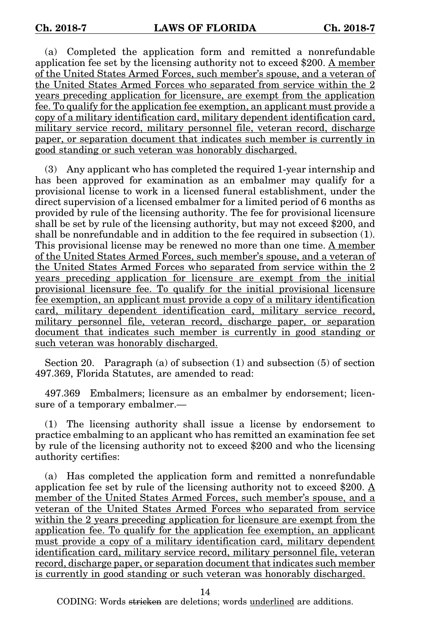(a) Completed the application form and remitted a nonrefundable application fee set by the licensing authority not to exceed \$200. A member of the United States Armed Forces, such member's spouse, and a veteran of the United States Armed Forces who separated from service within the 2 years preceding application for licensure, are exempt from the application fee. To qualify for the application fee exemption, an applicant must provide a copy of a military identification card, military dependent identification card, military service record, military personnel file, veteran record, discharge paper, or separation document that indicates such member is currently in good standing or such veteran was honorably discharged.

(3) Any applicant who has completed the required 1-year internship and has been approved for examination as an embalmer may qualify for a provisional license to work in a licensed funeral establishment, under the direct supervision of a licensed embalmer for a limited period of 6 months as provided by rule of the licensing authority. The fee for provisional licensure shall be set by rule of the licensing authority, but may not exceed \$200, and shall be nonrefundable and in addition to the fee required in subsection (1). This provisional license may be renewed no more than one time. A member of the United States Armed Forces, such member's spouse, and a veteran of the United States Armed Forces who separated from service within the 2 years preceding application for licensure are exempt from the initial provisional licensure fee. To qualify for the initial provisional licensure fee exemption, an applicant must provide a copy of a military identification card, military dependent identification card, military service record, military personnel file, veteran record, discharge paper, or separation document that indicates such member is currently in good standing or such veteran was honorably discharged.

Section 20. Paragraph (a) of subsection (1) and subsection (5) of section 497.369, Florida Statutes, are amended to read:

497.369 Embalmers; licensure as an embalmer by endorsement; licensure of a temporary embalmer.—

(1) The licensing authority shall issue a license by endorsement to practice embalming to an applicant who has remitted an examination fee set by rule of the licensing authority not to exceed \$200 and who the licensing authority certifies:

(a) Has completed the application form and remitted a nonrefundable application fee set by rule of the licensing authority not to exceed \$200. A member of the United States Armed Forces, such member's spouse, and a veteran of the United States Armed Forces who separated from service within the 2 years preceding application for licensure are exempt from the application fee. To qualify for the application fee exemption, an applicant must provide a copy of a military identification card, military dependent identification card, military service record, military personnel file, veteran record, discharge paper, or separation document that indicates such member is currently in good standing or such veteran was honorably discharged.

14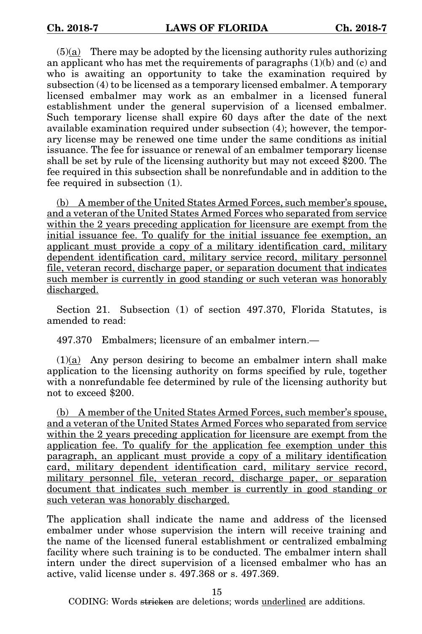$(5)(a)$  There may be adopted by the licensing authority rules authorizing an applicant who has met the requirements of paragraphs (1)(b) and (c) and who is awaiting an opportunity to take the examination required by subsection (4) to be licensed as a temporary licensed embalmer. A temporary licensed embalmer may work as an embalmer in a licensed funeral establishment under the general supervision of a licensed embalmer. Such temporary license shall expire 60 days after the date of the next available examination required under subsection (4); however, the temporary license may be renewed one time under the same conditions as initial issuance. The fee for issuance or renewal of an embalmer temporary license shall be set by rule of the licensing authority but may not exceed \$200. The fee required in this subsection shall be nonrefundable and in addition to the fee required in subsection (1).

(b) A member of the United States Armed Forces, such member's spouse, and a veteran of the United States Armed Forces who separated from service within the 2 years preceding application for licensure are exempt from the initial issuance fee. To qualify for the initial issuance fee exemption, an applicant must provide a copy of a military identification card, military dependent identification card, military service record, military personnel file, veteran record, discharge paper, or separation document that indicates such member is currently in good standing or such veteran was honorably discharged.

Section 21. Subsection (1) of section 497.370, Florida Statutes, is amended to read:

497.370 Embalmers; licensure of an embalmer intern.—

(1)(a) Any person desiring to become an embalmer intern shall make application to the licensing authority on forms specified by rule, together with a nonrefundable fee determined by rule of the licensing authority but not to exceed \$200.

(b) A member of the United States Armed Forces, such member's spouse, and a veteran of the United States Armed Forces who separated from service within the 2 years preceding application for licensure are exempt from the application fee. To qualify for the application fee exemption under this paragraph, an applicant must provide a copy of a military identification card, military dependent identification card, military service record, military personnel file, veteran record, discharge paper, or separation document that indicates such member is currently in good standing or such veteran was honorably discharged.

The application shall indicate the name and address of the licensed embalmer under whose supervision the intern will receive training and the name of the licensed funeral establishment or centralized embalming facility where such training is to be conducted. The embalmer intern shall intern under the direct supervision of a licensed embalmer who has an active, valid license under s. 497.368 or s. 497.369.

15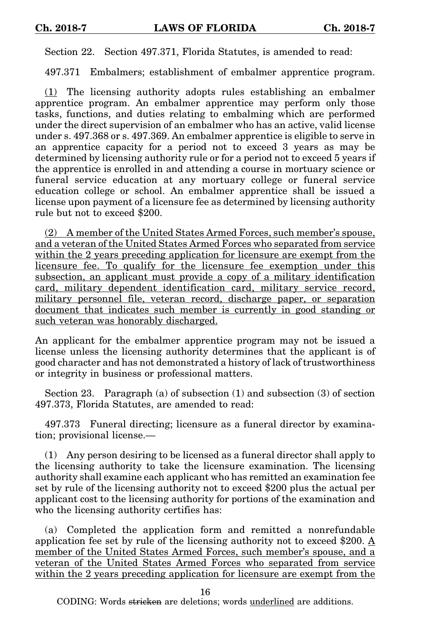Section 22. Section 497.371, Florida Statutes, is amended to read:

497.371 Embalmers; establishment of embalmer apprentice program.

(1) The licensing authority adopts rules establishing an embalmer apprentice program. An embalmer apprentice may perform only those tasks, functions, and duties relating to embalming which are performed under the direct supervision of an embalmer who has an active, valid license under s. 497.368 or s. 497.369. An embalmer apprentice is eligible to serve in an apprentice capacity for a period not to exceed 3 years as may be determined by licensing authority rule or for a period not to exceed 5 years if the apprentice is enrolled in and attending a course in mortuary science or funeral service education at any mortuary college or funeral service education college or school. An embalmer apprentice shall be issued a license upon payment of a licensure fee as determined by licensing authority rule but not to exceed \$200.

(2) A member of the United States Armed Forces, such member's spouse, and a veteran of the United States Armed Forces who separated from service within the 2 years preceding application for licensure are exempt from the licensure fee. To qualify for the licensure fee exemption under this subsection, an applicant must provide a copy of a military identification card, military dependent identification card, military service record, military personnel file, veteran record, discharge paper, or separation document that indicates such member is currently in good standing or such veteran was honorably discharged.

An applicant for the embalmer apprentice program may not be issued a license unless the licensing authority determines that the applicant is of good character and has not demonstrated a history of lack of trustworthiness or integrity in business or professional matters.

Section 23. Paragraph (a) of subsection (1) and subsection (3) of section 497.373, Florida Statutes, are amended to read:

497.373 Funeral directing; licensure as a funeral director by examination; provisional license.—

(1) Any person desiring to be licensed as a funeral director shall apply to the licensing authority to take the licensure examination. The licensing authority shall examine each applicant who has remitted an examination fee set by rule of the licensing authority not to exceed \$200 plus the actual per applicant cost to the licensing authority for portions of the examination and who the licensing authority certifies has:

(a) Completed the application form and remitted a nonrefundable application fee set by rule of the licensing authority not to exceed \$200. A member of the United States Armed Forces, such member's spouse, and a veteran of the United States Armed Forces who separated from service within the 2 years preceding application for licensure are exempt from the

16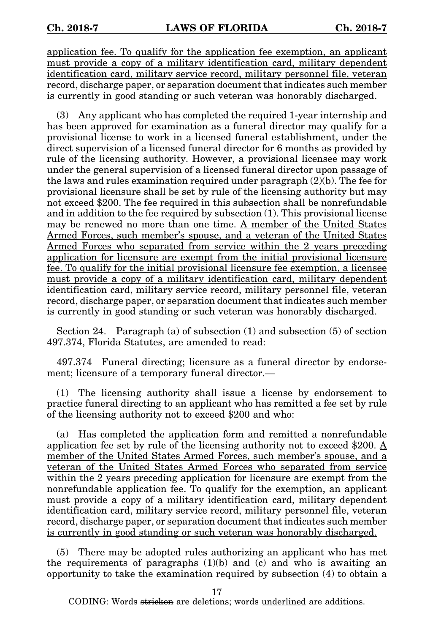application fee. To qualify for the application fee exemption, an applicant must provide a copy of a military identification card, military dependent identification card, military service record, military personnel file, veteran record, discharge paper, or separation document that indicates such member is currently in good standing or such veteran was honorably discharged.

(3) Any applicant who has completed the required 1-year internship and has been approved for examination as a funeral director may qualify for a provisional license to work in a licensed funeral establishment, under the direct supervision of a licensed funeral director for 6 months as provided by rule of the licensing authority. However, a provisional licensee may work under the general supervision of a licensed funeral director upon passage of the laws and rules examination required under paragraph  $(2)(b)$ . The fee for provisional licensure shall be set by rule of the licensing authority but may not exceed \$200. The fee required in this subsection shall be nonrefundable and in addition to the fee required by subsection (1). This provisional license may be renewed no more than one time. A member of the United States Armed Forces, such member's spouse, and a veteran of the United States Armed Forces who separated from service within the 2 years preceding application for licensure are exempt from the initial provisional licensure fee. To qualify for the initial provisional licensure fee exemption, a licensee must provide a copy of a military identification card, military dependent identification card, military service record, military personnel file, veteran record, discharge paper, or separation document that indicates such member is currently in good standing or such veteran was honorably discharged.

Section 24. Paragraph (a) of subsection  $(1)$  and subsection  $(5)$  of section 497.374, Florida Statutes, are amended to read:

497.374 Funeral directing; licensure as a funeral director by endorsement; licensure of a temporary funeral director.—

(1) The licensing authority shall issue a license by endorsement to practice funeral directing to an applicant who has remitted a fee set by rule of the licensing authority not to exceed \$200 and who:

(a) Has completed the application form and remitted a nonrefundable application fee set by rule of the licensing authority not to exceed \$200. A member of the United States Armed Forces, such member's spouse, and a veteran of the United States Armed Forces who separated from service within the 2 years preceding application for licensure are exempt from the nonrefundable application fee. To qualify for the exemption, an applicant must provide a copy of a military identification card, military dependent identification card, military service record, military personnel file, veteran record, discharge paper, or separation document that indicates such member is currently in good standing or such veteran was honorably discharged.

(5) There may be adopted rules authorizing an applicant who has met the requirements of paragraphs  $(1)(b)$  and  $(c)$  and who is awaiting an opportunity to take the examination required by subsection (4) to obtain a

17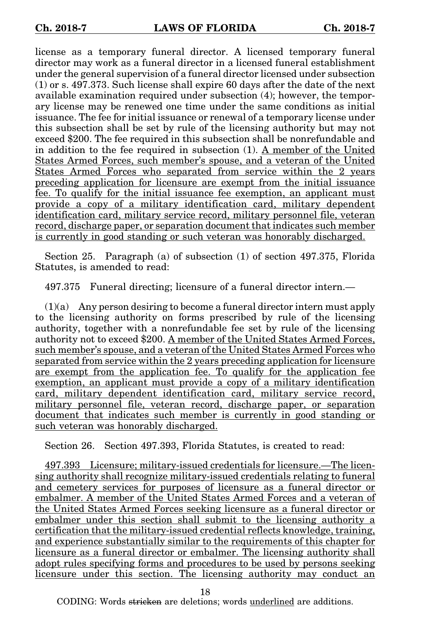license as a temporary funeral director. A licensed temporary funeral director may work as a funeral director in a licensed funeral establishment under the general supervision of a funeral director licensed under subsection (1) or s. 497.373. Such license shall expire 60 days after the date of the next available examination required under subsection (4); however, the temporary license may be renewed one time under the same conditions as initial issuance. The fee for initial issuance or renewal of a temporary license under this subsection shall be set by rule of the licensing authority but may not exceed \$200. The fee required in this subsection shall be nonrefundable and in addition to the fee required in subsection (1). A member of the United States Armed Forces, such member's spouse, and a veteran of the United States Armed Forces who separated from service within the 2 years preceding application for licensure are exempt from the initial issuance fee. To qualify for the initial issuance fee exemption, an applicant must provide a copy of a military identification card, military dependent identification card, military service record, military personnel file, veteran record, discharge paper, or separation document that indicates such member is currently in good standing or such veteran was honorably discharged.

Section 25. Paragraph (a) of subsection (1) of section 497.375, Florida Statutes, is amended to read:

497.375 Funeral directing; licensure of a funeral director intern.—

(1)(a) Any person desiring to become a funeral director intern must apply to the licensing authority on forms prescribed by rule of the licensing authority, together with a nonrefundable fee set by rule of the licensing authority not to exceed \$200. A member of the United States Armed Forces, such member's spouse, and a veteran of the United States Armed Forces who separated from service within the 2 years preceding application for licensure are exempt from the application fee. To qualify for the application fee exemption, an applicant must provide a copy of a military identification card, military dependent identification card, military service record, military personnel file, veteran record, discharge paper, or separation document that indicates such member is currently in good standing or such veteran was honorably discharged.

Section 26. Section 497.393, Florida Statutes, is created to read:

497.393 Licensure; military-issued credentials for licensure.—The licensing authority shall recognize military-issued credentials relating to funeral and cemetery services for purposes of licensure as a funeral director or embalmer. A member of the United States Armed Forces and a veteran of the United States Armed Forces seeking licensure as a funeral director or embalmer under this section shall submit to the licensing authority a certification that the military-issued credential reflects knowledge, training, and experience substantially similar to the requirements of this chapter for licensure as a funeral director or embalmer. The licensing authority shall adopt rules specifying forms and procedures to be used by persons seeking licensure under this section. The licensing authority may conduct an

18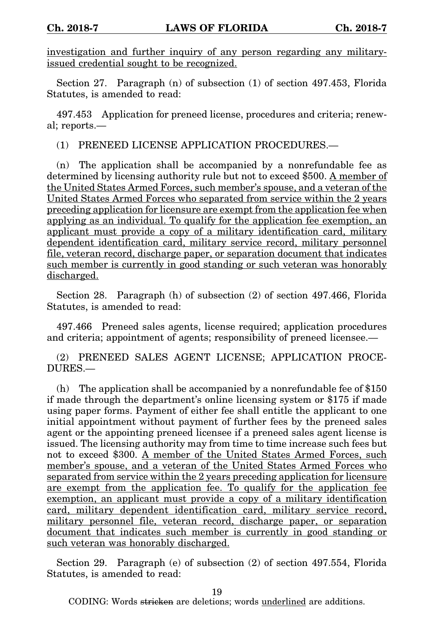investigation and further inquiry of any person regarding any militaryissued credential sought to be recognized.

Section 27. Paragraph (n) of subsection (1) of section 497.453, Florida Statutes, is amended to read:

497.453 Application for preneed license, procedures and criteria; renewal; reports.—

(1) PRENEED LICENSE APPLICATION PROCEDURES.—

(n) The application shall be accompanied by a nonrefundable fee as determined by licensing authority rule but not to exceed \$500. A member of the United States Armed Forces, such member's spouse, and a veteran of the United States Armed Forces who separated from service within the 2 years preceding application for licensure are exempt from the application fee when applying as an individual. To qualify for the application fee exemption, an applicant must provide a copy of a military identification card, military dependent identification card, military service record, military personnel file, veteran record, discharge paper, or separation document that indicates such member is currently in good standing or such veteran was honorably discharged.

Section 28. Paragraph (h) of subsection (2) of section 497.466, Florida Statutes, is amended to read:

497.466 Preneed sales agents, license required; application procedures and criteria; appointment of agents; responsibility of preneed licensee.—

(2) PRENEED SALES AGENT LICENSE; APPLICATION PROCE-DURES.—

(h) The application shall be accompanied by a nonrefundable fee of \$150 if made through the department's online licensing system or \$175 if made using paper forms. Payment of either fee shall entitle the applicant to one initial appointment without payment of further fees by the preneed sales agent or the appointing preneed licensee if a preneed sales agent license is issued. The licensing authority may from time to time increase such fees but not to exceed \$300. A member of the United States Armed Forces, such member's spouse, and a veteran of the United States Armed Forces who separated from service within the 2 years preceding application for licensure are exempt from the application fee. To qualify for the application fee exemption, an applicant must provide a copy of a military identification card, military dependent identification card, military service record, military personnel file, veteran record, discharge paper, or separation document that indicates such member is currently in good standing or such veteran was honorably discharged.

Section 29. Paragraph (e) of subsection (2) of section 497.554, Florida Statutes, is amended to read:

19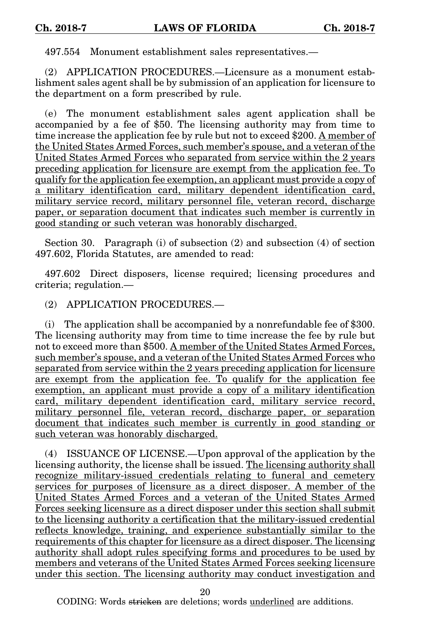497.554 Monument establishment sales representatives.—

(2) APPLICATION PROCEDURES.—Licensure as a monument establishment sales agent shall be by submission of an application for licensure to the department on a form prescribed by rule.

(e) The monument establishment sales agent application shall be accompanied by a fee of \$50. The licensing authority may from time to time increase the application fee by rule but not to exceed \$200. A member of the United States Armed Forces, such member's spouse, and a veteran of the United States Armed Forces who separated from service within the 2 years preceding application for licensure are exempt from the application fee. To qualify for the application fee exemption, an applicant must provide a copy of a military identification card, military dependent identification card, military service record, military personnel file, veteran record, discharge paper, or separation document that indicates such member is currently in good standing or such veteran was honorably discharged.

Section 30. Paragraph (i) of subsection (2) and subsection (4) of section 497.602, Florida Statutes, are amended to read:

497.602 Direct disposers, license required; licensing procedures and criteria; regulation.—

(2) APPLICATION PROCEDURES.—

(i) The application shall be accompanied by a nonrefundable fee of \$300. The licensing authority may from time to time increase the fee by rule but not to exceed more than \$500. A member of the United States Armed Forces, such member's spouse, and a veteran of the United States Armed Forces who separated from service within the 2 years preceding application for licensure are exempt from the application fee. To qualify for the application fee exemption, an applicant must provide a copy of a military identification card, military dependent identification card, military service record, military personnel file, veteran record, discharge paper, or separation document that indicates such member is currently in good standing or such veteran was honorably discharged.

(4) ISSUANCE OF LICENSE.—Upon approval of the application by the licensing authority, the license shall be issued. The licensing authority shall recognize military-issued credentials relating to funeral and cemetery services for purposes of licensure as a direct disposer. A member of the United States Armed Forces and a veteran of the United States Armed Forces seeking licensure as a direct disposer under this section shall submit to the licensing authority a certification that the military-issued credential reflects knowledge, training, and experience substantially similar to the requirements of this chapter for licensure as a direct disposer. The licensing authority shall adopt rules specifying forms and procedures to be used by members and veterans of the United States Armed Forces seeking licensure under this section. The licensing authority may conduct investigation and

20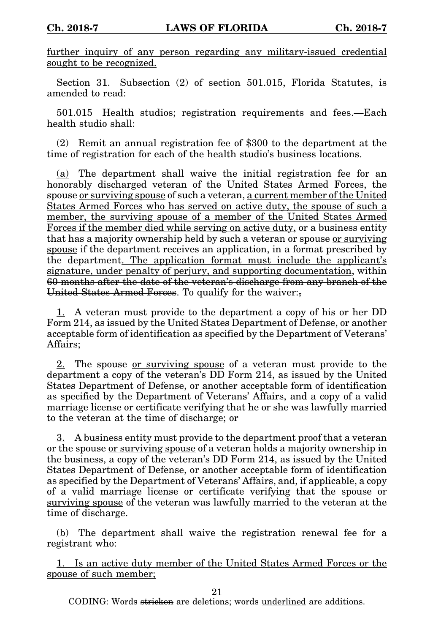further inquiry of any person regarding any military-issued credential sought to be recognized.

Section 31. Subsection (2) of section 501.015, Florida Statutes, is amended to read:

501.015 Health studios; registration requirements and fees.—Each health studio shall:

(2) Remit an annual registration fee of \$300 to the department at the time of registration for each of the health studio's business locations.

(a) The department shall waive the initial registration fee for an honorably discharged veteran of the United States Armed Forces, the spouse or surviving spouse of such a veteran, a current member of the United States Armed Forces who has served on active duty, the spouse of such a member, the surviving spouse of a member of the United States Armed Forces if the member died while serving on active duty, or a business entity that has a majority ownership held by such a veteran or spouse or surviving spouse if the department receives an application, in a format prescribed by the department. The application format must include the applicant's signature, under penalty of perjury, and supporting documentation, within 60 months after the date of the veteran's discharge from any branch of the United States Armed Forces. To qualify for the waiver:

1. A veteran must provide to the department a copy of his or her DD Form 214, as issued by the United States Department of Defense, or another acceptable form of identification as specified by the Department of Veterans' Affairs;

2. The spouse or surviving spouse of a veteran must provide to the department a copy of the veteran's DD Form 214, as issued by the United States Department of Defense, or another acceptable form of identification as specified by the Department of Veterans' Affairs, and a copy of a valid marriage license or certificate verifying that he or she was lawfully married to the veteran at the time of discharge; or

3. A business entity must provide to the department proof that a veteran or the spouse or surviving spouse of a veteran holds a majority ownership in the business, a copy of the veteran's DD Form 214, as issued by the United States Department of Defense, or another acceptable form of identification as specified by the Department of Veterans' Affairs, and, if applicable, a copy of a valid marriage license or certificate verifying that the spouse or surviving spouse of the veteran was lawfully married to the veteran at the time of discharge.

(b) The department shall waive the registration renewal fee for a registrant who:

1. Is an active duty member of the United States Armed Forces or the spouse of such member;

21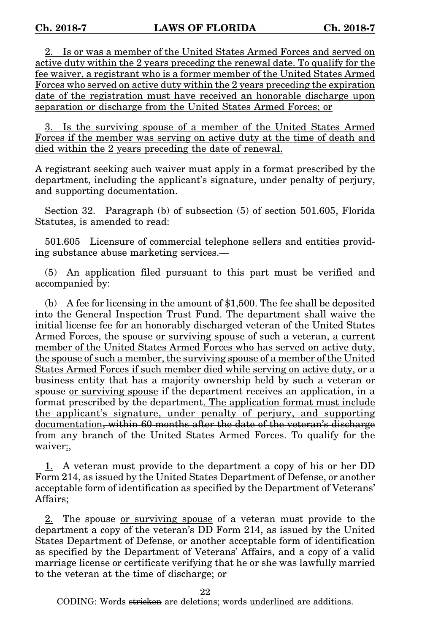2. Is or was a member of the United States Armed Forces and served on active duty within the 2 years preceding the renewal date. To qualify for the fee waiver, a registrant who is a former member of the United States Armed Forces who served on active duty within the 2 years preceding the expiration date of the registration must have received an honorable discharge upon separation or discharge from the United States Armed Forces; or

3. Is the surviving spouse of a member of the United States Armed Forces if the member was serving on active duty at the time of death and died within the 2 years preceding the date of renewal.

A registrant seeking such waiver must apply in a format prescribed by the department, including the applicant's signature, under penalty of perjury, and supporting documentation.

Section 32. Paragraph (b) of subsection (5) of section 501.605, Florida Statutes, is amended to read:

501.605 Licensure of commercial telephone sellers and entities providing substance abuse marketing services.—

(5) An application filed pursuant to this part must be verified and accompanied by:

(b) A fee for licensing in the amount of \$1,500. The fee shall be deposited into the General Inspection Trust Fund. The department shall waive the initial license fee for an honorably discharged veteran of the United States Armed Forces, the spouse <u>or surviving spouse</u> of such a veteran, a current member of the United States Armed Forces who has served on active duty, the spouse of such a member, the surviving spouse of a member of the United States Armed Forces if such member died while serving on active duty, or a business entity that has a majority ownership held by such a veteran or spouse or surviving spouse if the department receives an application, in a format prescribed by the department. The application format must include the applicant's signature, under penalty of perjury, and supporting documentation, within 60 months after the date of the veteran's discharge from any branch of the United States Armed Forces. To qualify for the waiver:,

1. A veteran must provide to the department a copy of his or her DD Form 214, as issued by the United States Department of Defense, or another acceptable form of identification as specified by the Department of Veterans' Affairs;

2. The spouse <u>or surviving spouse</u> of a veteran must provide to the department a copy of the veteran's DD Form 214, as issued by the United States Department of Defense, or another acceptable form of identification as specified by the Department of Veterans' Affairs, and a copy of a valid marriage license or certificate verifying that he or she was lawfully married to the veteran at the time of discharge; or

22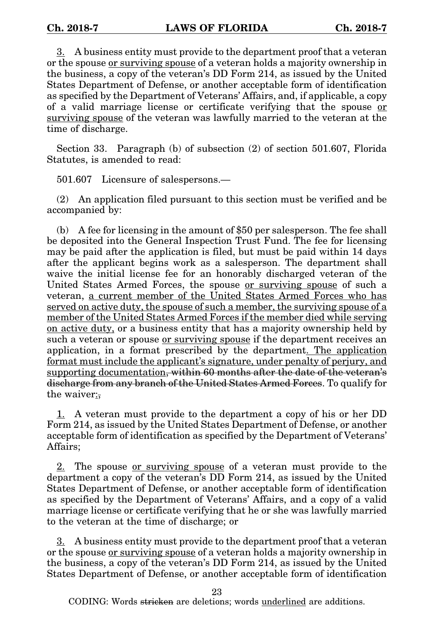$3.$  A business entity must provide to the department proof that a veteran or the spouse or surviving spouse of a veteran holds a majority ownership in the business, a copy of the veteran's DD Form 214, as issued by the United States Department of Defense, or another acceptable form of identification as specified by the Department of Veterans' Affairs, and, if applicable, a copy of a valid marriage license or certificate verifying that the spouse or surviving spouse of the veteran was lawfully married to the veteran at the time of discharge.

Section 33. Paragraph (b) of subsection (2) of section 501.607, Florida Statutes, is amended to read:

501.607 Licensure of salespersons.—

(2) An application filed pursuant to this section must be verified and be accompanied by:

(b) A fee for licensing in the amount of \$50 per salesperson. The fee shall be deposited into the General Inspection Trust Fund. The fee for licensing may be paid after the application is filed, but must be paid within 14 days after the applicant begins work as a salesperson. The department shall waive the initial license fee for an honorably discharged veteran of the United States Armed Forces, the spouse <u>or surviving spouse</u> of such a veteran, a current member of the United States Armed Forces who has served on active duty, the spouse of such a member, the surviving spouse of a member of the United States Armed Forces if the member died while serving on active duty, or a business entity that has a majority ownership held by such a veteran or spouse or surviving spouse if the department receives an application, in a format prescribed by the department. The application format must include the applicant's signature, under penalty of perjury, and supporting documentation, within 60 months after the date of the veteran's discharge from any branch of the United States Armed Forces. To qualify for the waiver:,

1. A veteran must provide to the department a copy of his or her DD Form 214, as issued by the United States Department of Defense, or another acceptable form of identification as specified by the Department of Veterans' Affairs;

2. The spouse <u>or surviving spouse</u> of a veteran must provide to the department a copy of the veteran's DD Form 214, as issued by the United States Department of Defense, or another acceptable form of identification as specified by the Department of Veterans' Affairs, and a copy of a valid marriage license or certificate verifying that he or she was lawfully married to the veteran at the time of discharge; or

3. A business entity must provide to the department proof that a veteran or the spouse or surviving spouse of a veteran holds a majority ownership in the business, a copy of the veteran's DD Form 214, as issued by the United States Department of Defense, or another acceptable form of identification

23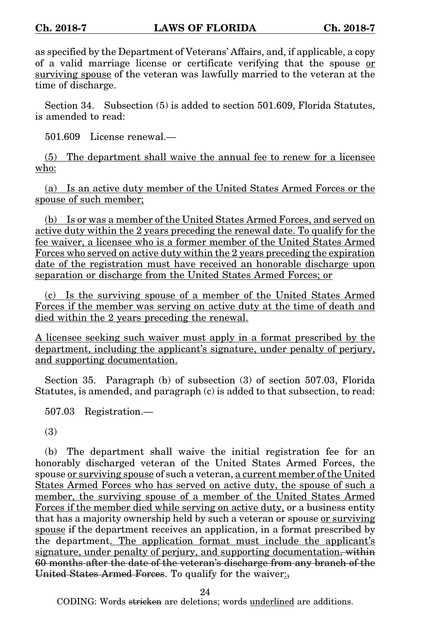as specified by the Department of Veterans' Affairs, and, if applicable, a copy of a valid marriage license or certificate verifying that the spouse or surviving spouse of the veteran was lawfully married to the veteran at the time of discharge.

Section 34. Subsection (5) is added to section 501.609, Florida Statutes, is amended to read:

501.609 License renewal.—

(5) The department shall waive the annual fee to renew for a licensee who:

(a) Is an active duty member of the United States Armed Forces or the spouse of such member;

(b) Is or was a member of the United States Armed Forces, and served on active duty within the 2 years preceding the renewal date. To qualify for the fee waiver, a licensee who is a former member of the United States Armed Forces who served on active duty within the 2 years preceding the expiration date of the registration must have received an honorable discharge upon separation or discharge from the United States Armed Forces; or

(c) Is the surviving spouse of a member of the United States Armed Forces if the member was serving on active duty at the time of death and died within the 2 years preceding the renewal.

A licensee seeking such waiver must apply in a format prescribed by the department, including the applicant's signature, under penalty of perjury, and supporting documentation.

Section 35. Paragraph (b) of subsection (3) of section 507.03, Florida Statutes, is amended, and paragraph (c) is added to that subsection, to read:

507.03 Registration.—

(3)

(b) The department shall waive the initial registration fee for an honorably discharged veteran of the United States Armed Forces, the spouse or surviving spouse of such a veteran, a current member of the United States Armed Forces who has served on active duty, the spouse of such a member, the surviving spouse of a member of the United States Armed Forces if the member died while serving on active duty, or a business entity that has a majority ownership held by such a veteran or spouse or surviving spouse if the department receives an application, in a format prescribed by the department. The application format must include the applicant's signature, under penalty of perjury, and supporting documentation, within 60 months after the date of the veteran's discharge from any branch of the United States Armed Forces. To qualify for the waiver:

24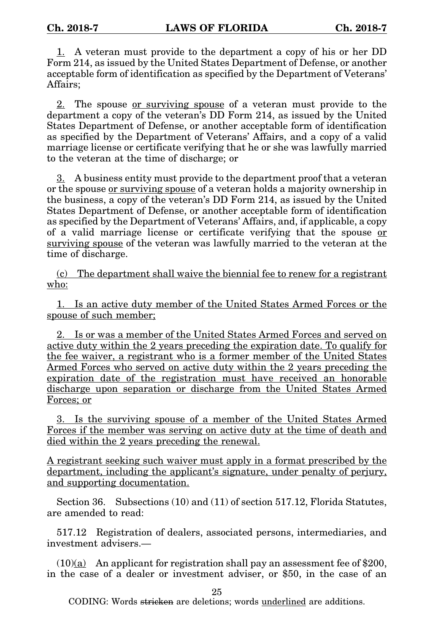1. A veteran must provide to the department a copy of his or her DD Form 214, as issued by the United States Department of Defense, or another acceptable form of identification as specified by the Department of Veterans' Affairs;

2. The spouse or surviving spouse of a veteran must provide to the department a copy of the veteran's DD Form 214, as issued by the United States Department of Defense, or another acceptable form of identification as specified by the Department of Veterans' Affairs, and a copy of a valid marriage license or certificate verifying that he or she was lawfully married to the veteran at the time of discharge; or

3. A business entity must provide to the department proof that a veteran or the spouse or surviving spouse of a veteran holds a majority ownership in the business, a copy of the veteran's DD Form 214, as issued by the United States Department of Defense, or another acceptable form of identification as specified by the Department of Veterans' Affairs, and, if applicable, a copy of a valid marriage license or certificate verifying that the spouse or surviving spouse of the veteran was lawfully married to the veteran at the time of discharge.

(c) The department shall waive the biennial fee to renew for a registrant who:

1. Is an active duty member of the United States Armed Forces or the spouse of such member;

2. Is or was a member of the United States Armed Forces and served on active duty within the 2 years preceding the expiration date. To qualify for the fee waiver, a registrant who is a former member of the United States Armed Forces who served on active duty within the 2 years preceding the expiration date of the registration must have received an honorable discharge upon separation or discharge from the United States Armed Forces; or

3. Is the surviving spouse of a member of the United States Armed Forces if the member was serving on active duty at the time of death and died within the 2 years preceding the renewal.

A registrant seeking such waiver must apply in a format prescribed by the department, including the applicant's signature, under penalty of perjury, and supporting documentation.

Section 36. Subsections (10) and (11) of section 517.12, Florida Statutes, are amended to read:

517.12 Registration of dealers, associated persons, intermediaries, and investment advisers.—

 $(10)(a)$  An applicant for registration shall pay an assessment fee of \$200, in the case of a dealer or investment adviser, or \$50, in the case of an

25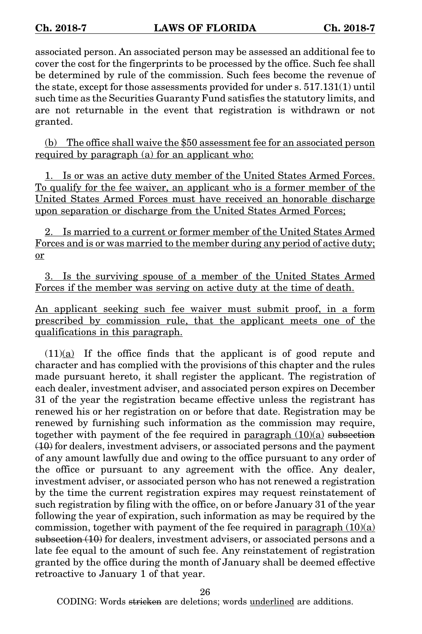associated person. An associated person may be assessed an additional fee to cover the cost for the fingerprints to be processed by the office. Such fee shall be determined by rule of the commission. Such fees become the revenue of the state, except for those assessments provided for under s. 517.131(1) until such time as the Securities Guaranty Fund satisfies the statutory limits, and are not returnable in the event that registration is withdrawn or not granted.

(b) The office shall waive the \$50 assessment fee for an associated person required by paragraph (a) for an applicant who:

1. Is or was an active duty member of the United States Armed Forces. To qualify for the fee waiver, an applicant who is a former member of the United States Armed Forces must have received an honorable discharge upon separation or discharge from the United States Armed Forces;

2. Is married to a current or former member of the United States Armed Forces and is or was married to the member during any period of active duty; or

3. Is the surviving spouse of a member of the United States Armed Forces if the member was serving on active duty at the time of death.

An applicant seeking such fee waiver must submit proof, in a form prescribed by commission rule, that the applicant meets one of the qualifications in this paragraph.

 $(11)(a)$  If the office finds that the applicant is of good repute and character and has complied with the provisions of this chapter and the rules made pursuant hereto, it shall register the applicant. The registration of each dealer, investment adviser, and associated person expires on December 31 of the year the registration became effective unless the registrant has renewed his or her registration on or before that date. Registration may be renewed by furnishing such information as the commission may require, together with payment of the fee required in paragraph  $(10)(a)$  subsection  $(10)$  for dealers, investment advisers, or associated persons and the payment of any amount lawfully due and owing to the office pursuant to any order of the office or pursuant to any agreement with the office. Any dealer, investment adviser, or associated person who has not renewed a registration by the time the current registration expires may request reinstatement of such registration by filing with the office, on or before January 31 of the year following the year of expiration, such information as may be required by the commission, together with payment of the fee required in paragraph  $(10)(a)$ subsection (10) for dealers, investment advisers, or associated persons and a late fee equal to the amount of such fee. Any reinstatement of registration granted by the office during the month of January shall be deemed effective retroactive to January 1 of that year.

26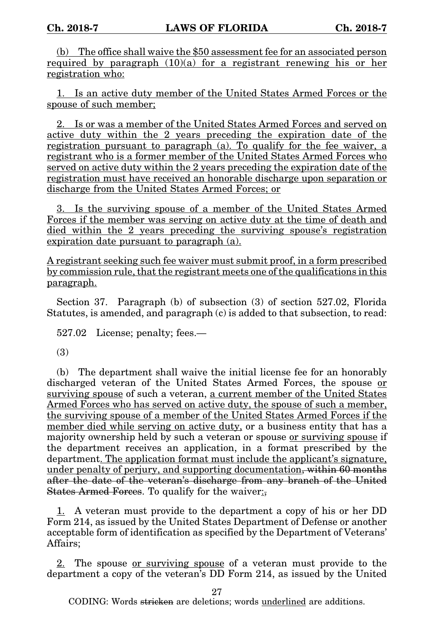(b) The office shall waive the \$50 assessment fee for an associated person required by paragraph (10)(a) for a registrant renewing his or her registration who:

1. Is an active duty member of the United States Armed Forces or the spouse of such member;

2. Is or was a member of the United States Armed Forces and served on active duty within the 2 years preceding the expiration date of the registration pursuant to paragraph (a). To qualify for the fee waiver, a registrant who is a former member of the United States Armed Forces who served on active duty within the 2 years preceding the expiration date of the registration must have received an honorable discharge upon separation or discharge from the United States Armed Forces; or

3. Is the surviving spouse of a member of the United States Armed Forces if the member was serving on active duty at the time of death and died within the 2 years preceding the surviving spouse's registration expiration date pursuant to paragraph (a).

A registrant seeking such fee waiver must submit proof, in a form prescribed by commission rule, that the registrant meets one of the qualifications in this paragraph.

Section 37. Paragraph (b) of subsection (3) of section 527.02, Florida Statutes, is amended, and paragraph (c) is added to that subsection, to read:

527.02 License; penalty; fees.—

(3)

(b) The department shall waive the initial license fee for an honorably discharged veteran of the United States Armed Forces, the spouse or surviving spouse of such a veteran, a current member of the United States Armed Forces who has served on active duty, the spouse of such a member, the surviving spouse of a member of the United States Armed Forces if the member died while serving on active duty, or a business entity that has a majority ownership held by such a veteran or spouse or surviving spouse if the department receives an application, in a format prescribed by the department. The application format must include the applicant's signature, under penalty of perjury, and supporting documentation, within 60 months after the date of the veteran's discharge from any branch of the United States Armed Forces. To qualify for the waiver:

1. A veteran must provide to the department a copy of his or her DD Form 214, as issued by the United States Department of Defense or another acceptable form of identification as specified by the Department of Veterans' Affairs;

2. The spouse or surviving spouse of a veteran must provide to the department a copy of the veteran's DD Form 214, as issued by the United

27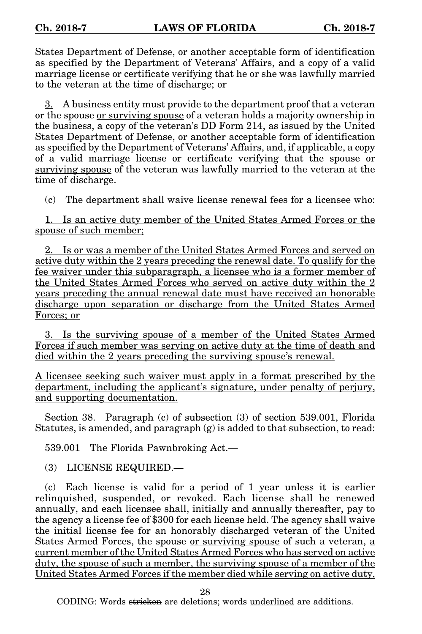States Department of Defense, or another acceptable form of identification as specified by the Department of Veterans' Affairs, and a copy of a valid marriage license or certificate verifying that he or she was lawfully married to the veteran at the time of discharge; or

3. A business entity must provide to the department proof that a veteran or the spouse or surviving spouse of a veteran holds a majority ownership in the business, a copy of the veteran's DD Form 214, as issued by the United States Department of Defense, or another acceptable form of identification as specified by the Department of Veterans' Affairs, and, if applicable, a copy of a valid marriage license or certificate verifying that the spouse or surviving spouse of the veteran was lawfully married to the veteran at the time of discharge.

(c) The department shall waive license renewal fees for a licensee who:

1. Is an active duty member of the United States Armed Forces or the spouse of such member;

2. Is or was a member of the United States Armed Forces and served on active duty within the 2 years preceding the renewal date. To qualify for the fee waiver under this subparagraph, a licensee who is a former member of the United States Armed Forces who served on active duty within the 2 years preceding the annual renewal date must have received an honorable discharge upon separation or discharge from the United States Armed Forces; or

3. Is the surviving spouse of a member of the United States Armed Forces if such member was serving on active duty at the time of death and died within the 2 years preceding the surviving spouse's renewal.

A licensee seeking such waiver must apply in a format prescribed by the department, including the applicant's signature, under penalty of perjury, and supporting documentation.

Section 38. Paragraph (c) of subsection (3) of section 539.001, Florida Statutes, is amended, and paragraph (g) is added to that subsection, to read:

539.001 The Florida Pawnbroking Act.—

(3) LICENSE REQUIRED.—

(c) Each license is valid for a period of 1 year unless it is earlier relinquished, suspended, or revoked. Each license shall be renewed annually, and each licensee shall, initially and annually thereafter, pay to the agency a license fee of \$300 for each license held. The agency shall waive the initial license fee for an honorably discharged veteran of the United States Armed Forces, the spouse or surviving spouse of such a veteran, a current member of the United States Armed Forces who has served on active duty, the spouse of such a member, the surviving spouse of a member of the United States Armed Forces if the member died while serving on active duty,

28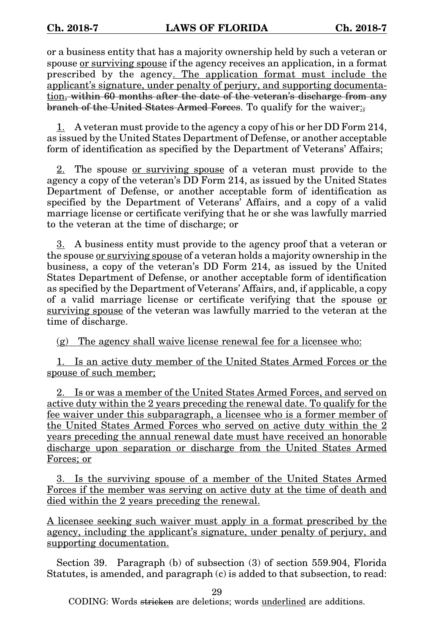or a business entity that has a majority ownership held by such a veteran or spouse <u>or surviving spouse</u> if the agency receives an application, in a format prescribed by the agency. The application format must include the applicant's signature, under penalty of perjury, and supporting documentation, within 60 months after the date of the veteran's discharge from any branch of the United States Armed Forces. To qualify for the waiver:

 $1.$  A veteran must provide to the agency a copy of his or her DD Form 214, as issued by the United States Department of Defense, or another acceptable form of identification as specified by the Department of Veterans' Affairs;

2. The spouse or surviving spouse of a veteran must provide to the agency a copy of the veteran's DD Form 214, as issued by the United States Department of Defense, or another acceptable form of identification as specified by the Department of Veterans' Affairs, and a copy of a valid marriage license or certificate verifying that he or she was lawfully married to the veteran at the time of discharge; or

3. A business entity must provide to the agency proof that a veteran or the spouse or surviving spouse of a veteran holds a majority ownership in the business, a copy of the veteran's DD Form 214, as issued by the United States Department of Defense, or another acceptable form of identification as specified by the Department of Veterans' Affairs, and, if applicable, a copy of a valid marriage license or certificate verifying that the spouse or surviving spouse of the veteran was lawfully married to the veteran at the time of discharge.

(g) The agency shall waive license renewal fee for a licensee who:

1. Is an active duty member of the United States Armed Forces or the spouse of such member;

2. Is or was a member of the United States Armed Forces, and served on active duty within the 2 years preceding the renewal date. To qualify for the fee waiver under this subparagraph, a licensee who is a former member of the United States Armed Forces who served on active duty within the 2 years preceding the annual renewal date must have received an honorable discharge upon separation or discharge from the United States Armed Forces; or

3. Is the surviving spouse of a member of the United States Armed Forces if the member was serving on active duty at the time of death and died within the 2 years preceding the renewal.

A licensee seeking such waiver must apply in a format prescribed by the agency, including the applicant's signature, under penalty of perjury, and supporting documentation.

Section 39. Paragraph (b) of subsection (3) of section 559.904, Florida Statutes, is amended, and paragraph (c) is added to that subsection, to read:

29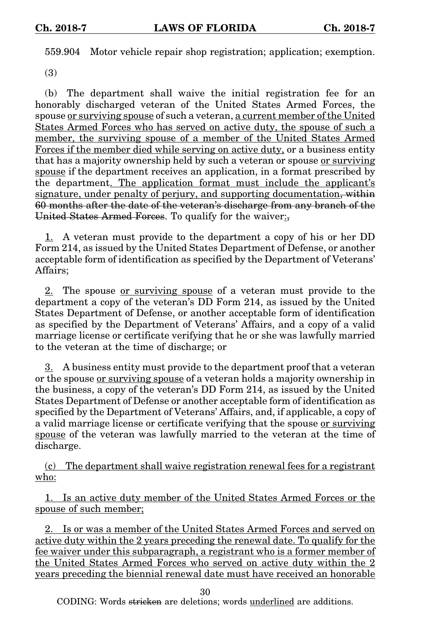559.904 Motor vehicle repair shop registration; application; exemption.

(3)

(b) The department shall waive the initial registration fee for an honorably discharged veteran of the United States Armed Forces, the spouse or surviving spouse of such a veteran, a current member of the United States Armed Forces who has served on active duty, the spouse of such a member, the surviving spouse of a member of the United States Armed Forces if the member died while serving on active duty, or a business entity that has a majority ownership held by such a veteran or spouse or surviving spouse if the department receives an application, in a format prescribed by the department. The application format must include the applicant's signature, under penalty of perjury, and supporting documentation, within 60 months after the date of the veteran's discharge from any branch of the United States Armed Forces. To qualify for the waiver:

1. A veteran must provide to the department a copy of his or her DD Form 214, as issued by the United States Department of Defense, or another acceptable form of identification as specified by the Department of Veterans' Affairs;

2. The spouse <u>or surviving spouse</u> of a veteran must provide to the department a copy of the veteran's DD Form 214, as issued by the United States Department of Defense, or another acceptable form of identification as specified by the Department of Veterans' Affairs, and a copy of a valid marriage license or certificate verifying that he or she was lawfully married to the veteran at the time of discharge; or

3. A business entity must provide to the department proof that a veteran or the spouse or surviving spouse of a veteran holds a majority ownership in the business, a copy of the veteran's DD Form 214, as issued by the United States Department of Defense or another acceptable form of identification as specified by the Department of Veterans' Affairs, and, if applicable, a copy of a valid marriage license or certificate verifying that the spouse or surviving spouse of the veteran was lawfully married to the veteran at the time of discharge.

(c) The department shall waive registration renewal fees for a registrant who:

1. Is an active duty member of the United States Armed Forces or the spouse of such member;

2. Is or was a member of the United States Armed Forces and served on active duty within the 2 years preceding the renewal date. To qualify for the fee waiver under this subparagraph, a registrant who is a former member of the United States Armed Forces who served on active duty within the 2 years preceding the biennial renewal date must have received an honorable

30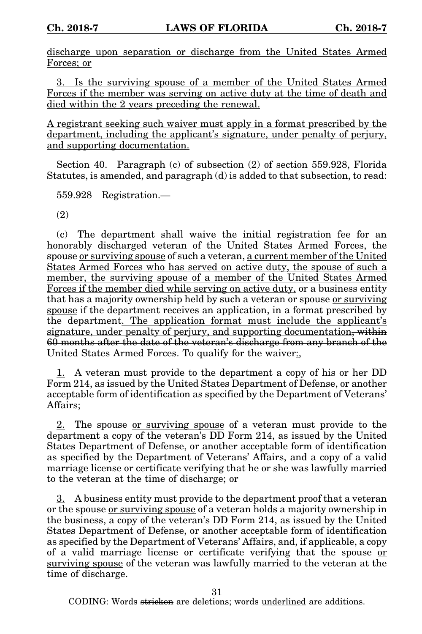discharge upon separation or discharge from the United States Armed Forces; or

3. Is the surviving spouse of a member of the United States Armed Forces if the member was serving on active duty at the time of death and died within the 2 years preceding the renewal.

A registrant seeking such waiver must apply in a format prescribed by the department, including the applicant's signature, under penalty of perjury, and supporting documentation.

Section 40. Paragraph (c) of subsection (2) of section 559.928, Florida Statutes, is amended, and paragraph (d) is added to that subsection, to read:

559.928 Registration.—

(2)

(c) The department shall waive the initial registration fee for an honorably discharged veteran of the United States Armed Forces, the spouse or surviving spouse of such a veteran, a current member of the United States Armed Forces who has served on active duty, the spouse of such a member, the surviving spouse of a member of the United States Armed Forces if the member died while serving on active duty, or a business entity that has a majority ownership held by such a veteran or spouse or surviving spouse if the department receives an application, in a format prescribed by the department. The application format must include the applicant's signature, under penalty of perjury, and supporting documentation, within 60 months after the date of the veteran's discharge from any branch of the United States Armed Forces. To qualify for the waiver:

1. A veteran must provide to the department a copy of his or her DD Form 214, as issued by the United States Department of Defense, or another acceptable form of identification as specified by the Department of Veterans' Affairs;

2. The spouse <u>or surviving spouse</u> of a veteran must provide to the department a copy of the veteran's DD Form 214, as issued by the United States Department of Defense, or another acceptable form of identification as specified by the Department of Veterans' Affairs, and a copy of a valid marriage license or certificate verifying that he or she was lawfully married to the veteran at the time of discharge; or

3. A business entity must provide to the department proof that a veteran or the spouse or surviving spouse of a veteran holds a majority ownership in the business, a copy of the veteran's DD Form 214, as issued by the United States Department of Defense, or another acceptable form of identification as specified by the Department of Veterans' Affairs, and, if applicable, a copy of a valid marriage license or certificate verifying that the spouse or surviving spouse of the veteran was lawfully married to the veteran at the time of discharge.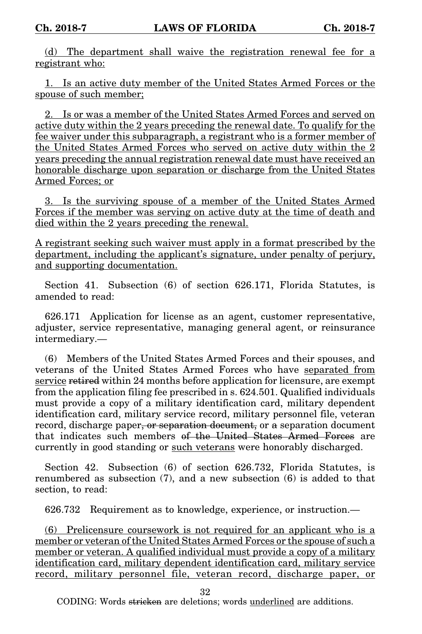(d) The department shall waive the registration renewal fee for a registrant who:

1. Is an active duty member of the United States Armed Forces or the spouse of such member;

2. Is or was a member of the United States Armed Forces and served on active duty within the 2 years preceding the renewal date. To qualify for the fee waiver under this subparagraph, a registrant who is a former member of the United States Armed Forces who served on active duty within the 2 years preceding the annual registration renewal date must have received an honorable discharge upon separation or discharge from the United States Armed Forces; or

3. Is the surviving spouse of a member of the United States Armed Forces if the member was serving on active duty at the time of death and died within the 2 years preceding the renewal.

A registrant seeking such waiver must apply in a format prescribed by the department, including the applicant's signature, under penalty of perjury, and supporting documentation.

Section 41. Subsection (6) of section 626.171, Florida Statutes, is amended to read:

626.171 Application for license as an agent, customer representative, adjuster, service representative, managing general agent, or reinsurance intermediary.—

(6) Members of the United States Armed Forces and their spouses, and veterans of the United States Armed Forces who have separated from service retired within 24 months before application for licensure, are exempt from the application filing fee prescribed in s. 624.501. Qualified individuals must provide a copy of a military identification card, military dependent identification card, military service record, military personnel file, veteran record, discharge paper, or separation document, or a separation document that indicates such members of the United States Armed Forces are currently in good standing or such veterans were honorably discharged.

Section 42. Subsection (6) of section 626.732, Florida Statutes, is renumbered as subsection (7), and a new subsection (6) is added to that section, to read:

626.732 Requirement as to knowledge, experience, or instruction.—

(6) Prelicensure coursework is not required for an applicant who is a member or veteran of the United States Armed Forces or the spouse of such a member or veteran. A qualified individual must provide a copy of a military identification card, military dependent identification card, military service record, military personnel file, veteran record, discharge paper, or

32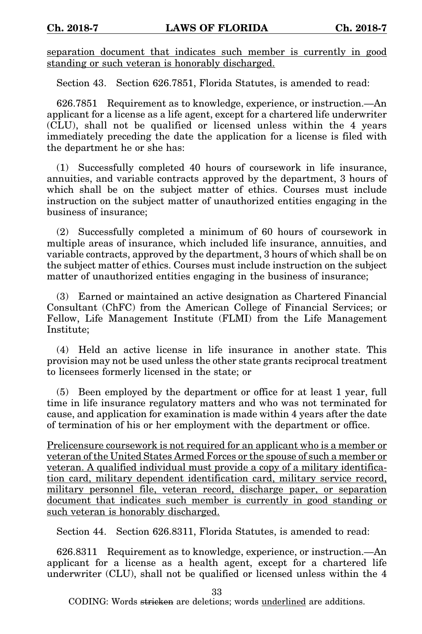separation document that indicates such member is currently in good standing or such veteran is honorably discharged.

Section 43. Section 626.7851, Florida Statutes, is amended to read:

626.7851 Requirement as to knowledge, experience, or instruction.—An applicant for a license as a life agent, except for a chartered life underwriter (CLU), shall not be qualified or licensed unless within the 4 years immediately preceding the date the application for a license is filed with the department he or she has:

(1) Successfully completed 40 hours of coursework in life insurance, annuities, and variable contracts approved by the department, 3 hours of which shall be on the subject matter of ethics. Courses must include instruction on the subject matter of unauthorized entities engaging in the business of insurance;

(2) Successfully completed a minimum of 60 hours of coursework in multiple areas of insurance, which included life insurance, annuities, and variable contracts, approved by the department, 3 hours of which shall be on the subject matter of ethics. Courses must include instruction on the subject matter of unauthorized entities engaging in the business of insurance;

(3) Earned or maintained an active designation as Chartered Financial Consultant (ChFC) from the American College of Financial Services; or Fellow, Life Management Institute (FLMI) from the Life Management Institute;

(4) Held an active license in life insurance in another state. This provision may not be used unless the other state grants reciprocal treatment to licensees formerly licensed in the state; or

(5) Been employed by the department or office for at least 1 year, full time in life insurance regulatory matters and who was not terminated for cause, and application for examination is made within 4 years after the date of termination of his or her employment with the department or office.

Prelicensure coursework is not required for an applicant who is a member or veteran of the United States Armed Forces or the spouse of such a member or veteran. A qualified individual must provide a copy of a military identification card, military dependent identification card, military service record, military personnel file, veteran record, discharge paper, or separation document that indicates such member is currently in good standing or such veteran is honorably discharged.

Section 44. Section 626.8311, Florida Statutes, is amended to read:

626.8311 Requirement as to knowledge, experience, or instruction.—An applicant for a license as a health agent, except for a chartered life underwriter (CLU), shall not be qualified or licensed unless within the 4

33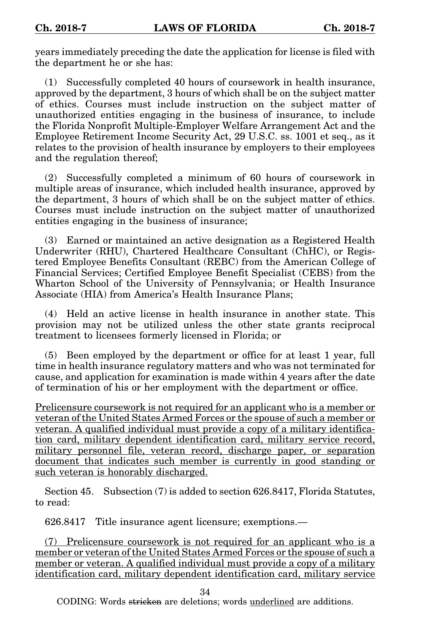years immediately preceding the date the application for license is filed with the department he or she has:

Successfully completed 40 hours of coursework in health insurance, approved by the department, 3 hours of which shall be on the subject matter of ethics. Courses must include instruction on the subject matter of unauthorized entities engaging in the business of insurance, to include the Florida Nonprofit Multiple-Employer Welfare Arrangement Act and the Employee Retirement Income Security Act, 29 U.S.C. ss. 1001 et seq., as it relates to the provision of health insurance by employers to their employees and the regulation thereof;

(2) Successfully completed a minimum of 60 hours of coursework in multiple areas of insurance, which included health insurance, approved by the department, 3 hours of which shall be on the subject matter of ethics. Courses must include instruction on the subject matter of unauthorized entities engaging in the business of insurance;

(3) Earned or maintained an active designation as a Registered Health Underwriter (RHU), Chartered Healthcare Consultant (ChHC), or Registered Employee Benefits Consultant (REBC) from the American College of Financial Services; Certified Employee Benefit Specialist (CEBS) from the Wharton School of the University of Pennsylvania; or Health Insurance Associate (HIA) from America's Health Insurance Plans;

(4) Held an active license in health insurance in another state. This provision may not be utilized unless the other state grants reciprocal treatment to licensees formerly licensed in Florida; or

(5) Been employed by the department or office for at least 1 year, full time in health insurance regulatory matters and who was not terminated for cause, and application for examination is made within 4 years after the date of termination of his or her employment with the department or office.

Prelicensure coursework is not required for an applicant who is a member or veteran of the United States Armed Forces or the spouse of such a member or veteran. A qualified individual must provide a copy of a military identification card, military dependent identification card, military service record, military personnel file, veteran record, discharge paper, or separation document that indicates such member is currently in good standing or such veteran is honorably discharged.

Section 45. Subsection (7) is added to section 626.8417, Florida Statutes, to read:

626.8417 Title insurance agent licensure; exemptions.—

(7) Prelicensure coursework is not required for an applicant who is a member or veteran of the United States Armed Forces or the spouse of such a member or veteran. A qualified individual must provide a copy of a military identification card, military dependent identification card, military service

34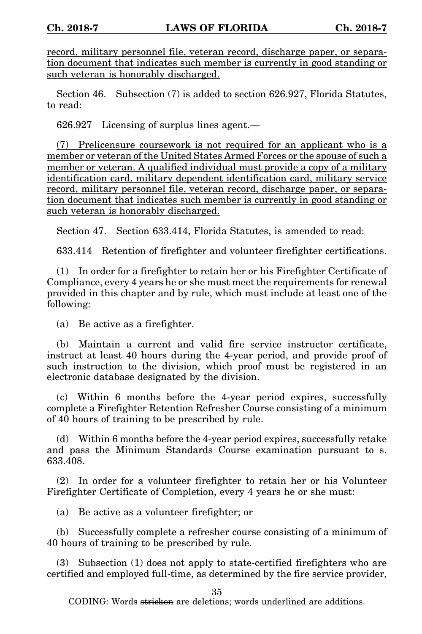record, military personnel file, veteran record, discharge paper, or separation document that indicates such member is currently in good standing or such veteran is honorably discharged.

Section 46. Subsection (7) is added to section 626.927, Florida Statutes, to read:

626.927 Licensing of surplus lines agent.—

(7) Prelicensure coursework is not required for an applicant who is a member or veteran of the United States Armed Forces or the spouse of such a member or veteran. A qualified individual must provide a copy of a military identification card, military dependent identification card, military service record, military personnel file, veteran record, discharge paper, or separation document that indicates such member is currently in good standing or such veteran is honorably discharged.

Section 47. Section 633.414, Florida Statutes, is amended to read:

633.414 Retention of firefighter and volunteer firefighter certifications.

(1) In order for a firefighter to retain her or his Firefighter Certificate of Compliance, every 4 years he or she must meet the requirements for renewal provided in this chapter and by rule, which must include at least one of the following:

(a) Be active as a firefighter.

(b) Maintain a current and valid fire service instructor certificate, instruct at least 40 hours during the 4-year period, and provide proof of such instruction to the division, which proof must be registered in an electronic database designated by the division.

(c) Within 6 months before the 4-year period expires, successfully complete a Firefighter Retention Refresher Course consisting of a minimum of 40 hours of training to be prescribed by rule.

(d) Within 6 months before the 4-year period expires, successfully retake and pass the Minimum Standards Course examination pursuant to s. 633.408.

(2) In order for a volunteer firefighter to retain her or his Volunteer Firefighter Certificate of Completion, every 4 years he or she must:

(a) Be active as a volunteer firefighter; or

(b) Successfully complete a refresher course consisting of a minimum of 40 hours of training to be prescribed by rule.

(3) Subsection (1) does not apply to state-certified firefighters who are certified and employed full-time, as determined by the fire service provider,

35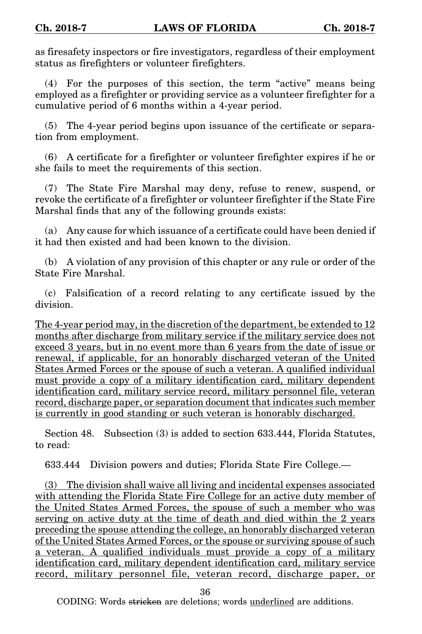as firesafety inspectors or fire investigators, regardless of their employment status as firefighters or volunteer firefighters.

(4) For the purposes of this section, the term "active" means being employed as a firefighter or providing service as a volunteer firefighter for a cumulative period of 6 months within a 4-year period.

(5) The 4-year period begins upon issuance of the certificate or separation from employment.

(6) A certificate for a firefighter or volunteer firefighter expires if he or she fails to meet the requirements of this section.

(7) The State Fire Marshal may deny, refuse to renew, suspend, or revoke the certificate of a firefighter or volunteer firefighter if the State Fire Marshal finds that any of the following grounds exists:

(a) Any cause for which issuance of a certificate could have been denied if it had then existed and had been known to the division.

(b) A violation of any provision of this chapter or any rule or order of the State Fire Marshal.

(c) Falsification of a record relating to any certificate issued by the division.

The 4-year period may, in the discretion of the department, be extended to 12 months after discharge from military service if the military service does not exceed 3 years, but in no event more than 6 years from the date of issue or renewal, if applicable, for an honorably discharged veteran of the United States Armed Forces or the spouse of such a veteran. A qualified individual must provide a copy of a military identification card, military dependent identification card, military service record, military personnel file, veteran record, discharge paper, or separation document that indicates such member is currently in good standing or such veteran is honorably discharged.

Section 48. Subsection (3) is added to section 633.444, Florida Statutes, to read:

633.444 Division powers and duties; Florida State Fire College.—

(3) The division shall waive all living and incidental expenses associated with attending the Florida State Fire College for an active duty member of the United States Armed Forces, the spouse of such a member who was serving on active duty at the time of death and died within the 2 years preceding the spouse attending the college, an honorably discharged veteran of the United States Armed Forces, or the spouse or surviving spouse of such a veteran. A qualified individuals must provide a copy of a military identification card, military dependent identification card, military service record, military personnel file, veteran record, discharge paper, or

36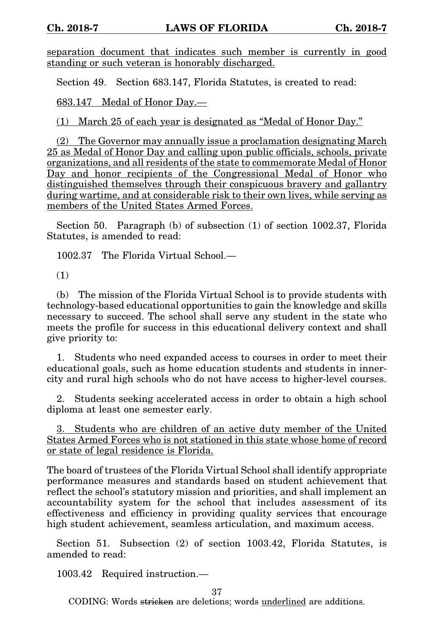separation document that indicates such member is currently in good standing or such veteran is honorably discharged.

Section 49. Section 683.147, Florida Statutes, is created to read:

683.147 Medal of Honor Day.—

(1) March 25 of each year is designated as "Medal of Honor Day."

(2) The Governor may annually issue a proclamation designating March 25 as Medal of Honor Day and calling upon public officials, schools, private organizations, and all residents of the state to commemorate Medal of Honor Day and honor recipients of the Congressional Medal of Honor who distinguished themselves through their conspicuous bravery and gallantry during wartime, and at considerable risk to their own lives, while serving as members of the United States Armed Forces.

Section 50. Paragraph (b) of subsection (1) of section 1002.37, Florida Statutes, is amended to read:

1002.37 The Florida Virtual School.—

(1)

(b) The mission of the Florida Virtual School is to provide students with technology-based educational opportunities to gain the knowledge and skills necessary to succeed. The school shall serve any student in the state who meets the profile for success in this educational delivery context and shall give priority to:

1. Students who need expanded access to courses in order to meet their educational goals, such as home education students and students in innercity and rural high schools who do not have access to higher-level courses.

2. Students seeking accelerated access in order to obtain a high school diploma at least one semester early.

3. Students who are children of an active duty member of the United States Armed Forces who is not stationed in this state whose home of record or state of legal residence is Florida.

The board of trustees of the Florida Virtual School shall identify appropriate performance measures and standards based on student achievement that reflect the school's statutory mission and priorities, and shall implement an accountability system for the school that includes assessment of its effectiveness and efficiency in providing quality services that encourage high student achievement, seamless articulation, and maximum access.

Section 51. Subsection (2) of section 1003.42, Florida Statutes, is amended to read:

1003.42 Required instruction.—

37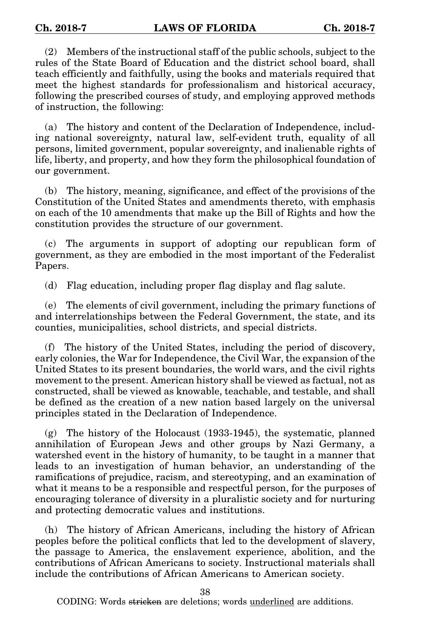(2) Members of the instructional staff of the public schools, subject to the rules of the State Board of Education and the district school board, shall teach efficiently and faithfully, using the books and materials required that meet the highest standards for professionalism and historical accuracy, following the prescribed courses of study, and employing approved methods of instruction, the following:

(a) The history and content of the Declaration of Independence, including national sovereignty, natural law, self-evident truth, equality of all persons, limited government, popular sovereignty, and inalienable rights of life, liberty, and property, and how they form the philosophical foundation of our government.

(b) The history, meaning, significance, and effect of the provisions of the Constitution of the United States and amendments thereto, with emphasis on each of the 10 amendments that make up the Bill of Rights and how the constitution provides the structure of our government.

(c) The arguments in support of adopting our republican form of government, as they are embodied in the most important of the Federalist Papers.

(d) Flag education, including proper flag display and flag salute.

(e) The elements of civil government, including the primary functions of and interrelationships between the Federal Government, the state, and its counties, municipalities, school districts, and special districts.

(f) The history of the United States, including the period of discovery, early colonies, the War for Independence, the Civil War, the expansion of the United States to its present boundaries, the world wars, and the civil rights movement to the present. American history shall be viewed as factual, not as constructed, shall be viewed as knowable, teachable, and testable, and shall be defined as the creation of a new nation based largely on the universal principles stated in the Declaration of Independence.

(g) The history of the Holocaust (1933-1945), the systematic, planned annihilation of European Jews and other groups by Nazi Germany, a watershed event in the history of humanity, to be taught in a manner that leads to an investigation of human behavior, an understanding of the ramifications of prejudice, racism, and stereotyping, and an examination of what it means to be a responsible and respectful person, for the purposes of encouraging tolerance of diversity in a pluralistic society and for nurturing and protecting democratic values and institutions.

(h) The history of African Americans, including the history of African peoples before the political conflicts that led to the development of slavery, the passage to America, the enslavement experience, abolition, and the contributions of African Americans to society. Instructional materials shall include the contributions of African Americans to American society.

38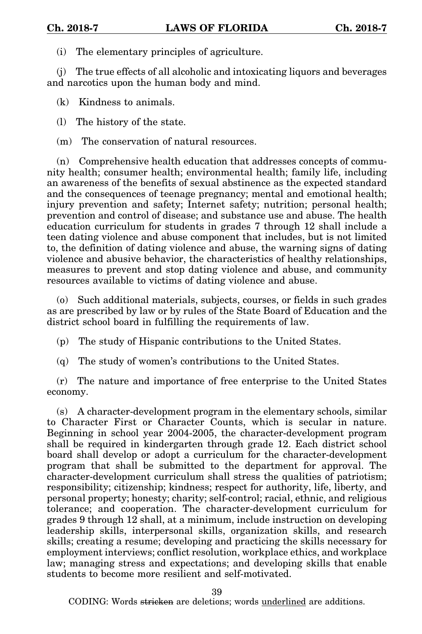(i) The elementary principles of agriculture.

(j) The true effects of all alcoholic and intoxicating liquors and beverages and narcotics upon the human body and mind.

(k) Kindness to animals.

(l) The history of the state.

(m) The conservation of natural resources.

(n) Comprehensive health education that addresses concepts of community health; consumer health; environmental health; family life, including an awareness of the benefits of sexual abstinence as the expected standard and the consequences of teenage pregnancy; mental and emotional health; injury prevention and safety; Internet safety; nutrition; personal health; prevention and control of disease; and substance use and abuse. The health education curriculum for students in grades 7 through 12 shall include a teen dating violence and abuse component that includes, but is not limited to, the definition of dating violence and abuse, the warning signs of dating violence and abusive behavior, the characteristics of healthy relationships, measures to prevent and stop dating violence and abuse, and community resources available to victims of dating violence and abuse.

(o) Such additional materials, subjects, courses, or fields in such grades as are prescribed by law or by rules of the State Board of Education and the district school board in fulfilling the requirements of law.

(p) The study of Hispanic contributions to the United States.

(q) The study of women's contributions to the United States.

(r) The nature and importance of free enterprise to the United States economy.

(s) A character-development program in the elementary schools, similar to Character First or Character Counts, which is secular in nature. Beginning in school year 2004-2005, the character-development program shall be required in kindergarten through grade 12. Each district school board shall develop or adopt a curriculum for the character-development program that shall be submitted to the department for approval. The character-development curriculum shall stress the qualities of patriotism; responsibility; citizenship; kindness; respect for authority, life, liberty, and personal property; honesty; charity; self-control; racial, ethnic, and religious tolerance; and cooperation. The character-development curriculum for grades 9 through 12 shall, at a minimum, include instruction on developing leadership skills, interpersonal skills, organization skills, and research skills; creating a resume; developing and practicing the skills necessary for employment interviews; conflict resolution, workplace ethics, and workplace law; managing stress and expectations; and developing skills that enable students to become more resilient and self-motivated.

39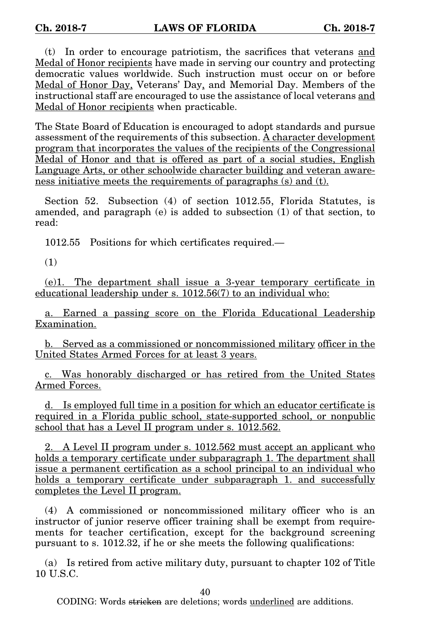(t) In order to encourage patriotism, the sacrifices that veterans and Medal of Honor recipients have made in serving our country and protecting democratic values worldwide. Such instruction must occur on or before Medal of Honor Day, Veterans' Day, and Memorial Day. Members of the instructional staff are encouraged to use the assistance of local veterans and Medal of Honor recipients when practicable.

The State Board of Education is encouraged to adopt standards and pursue assessment of the requirements of this subsection. A character development program that incorporates the values of the recipients of the Congressional Medal of Honor and that is offered as part of a social studies, English Language Arts, or other schoolwide character building and veteran awareness initiative meets the requirements of paragraphs (s) and (t).

Section 52. Subsection (4) of section 1012.55, Florida Statutes, is amended, and paragraph (e) is added to subsection (1) of that section, to read:

1012.55 Positions for which certificates required.—

(1)

(e)1. The department shall issue a 3-year temporary certificate in educational leadership under s. 1012.56(7) to an individual who:

a. Earned a passing score on the Florida Educational Leadership Examination.

b. Served as a commissioned or noncommissioned military officer in the United States Armed Forces for at least 3 years.

c. Was honorably discharged or has retired from the United States Armed Forces.

d. Is employed full time in a position for which an educator certificate is required in a Florida public school, state-supported school, or nonpublic school that has a Level II program under s. 1012.562.

2. A Level II program under s. 1012.562 must accept an applicant who holds a temporary certificate under subparagraph 1. The department shall issue a permanent certification as a school principal to an individual who holds a temporary certificate under subparagraph 1, and successfully completes the Level II program.

(4) A commissioned or noncommissioned military officer who is an instructor of junior reserve officer training shall be exempt from requirements for teacher certification, except for the background screening pursuant to s. 1012.32, if he or she meets the following qualifications:

(a) Is retired from active military duty, pursuant to chapter 102 of Title 10 U.S.C.

40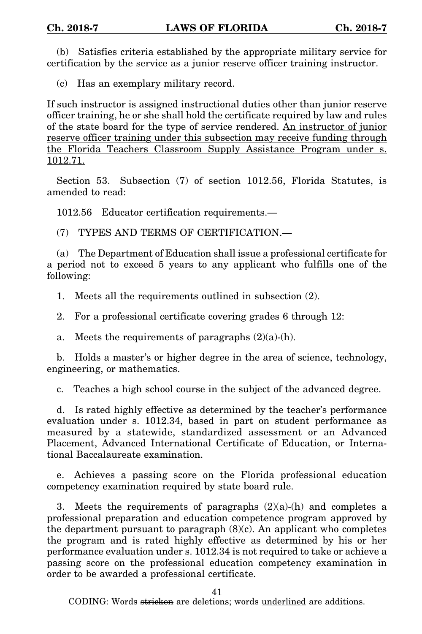(b) Satisfies criteria established by the appropriate military service for certification by the service as a junior reserve officer training instructor.

(c) Has an exemplary military record.

If such instructor is assigned instructional duties other than junior reserve officer training, he or she shall hold the certificate required by law and rules of the state board for the type of service rendered. An instructor of junior reserve officer training under this subsection may receive funding through the Florida Teachers Classroom Supply Assistance Program under s. 1012.71.

Section 53. Subsection (7) of section 1012.56, Florida Statutes, is amended to read:

1012.56 Educator certification requirements.—

(7) TYPES AND TERMS OF CERTIFICATION.—

(a) The Department of Education shall issue a professional certificate for a period not to exceed 5 years to any applicant who fulfills one of the following:

1. Meets all the requirements outlined in subsection (2).

2. For a professional certificate covering grades 6 through 12:

a. Meets the requirements of paragraphs  $(2)(a)-(h)$ .

b. Holds a master's or higher degree in the area of science, technology, engineering, or mathematics.

c. Teaches a high school course in the subject of the advanced degree.

d. Is rated highly effective as determined by the teacher's performance evaluation under s. 1012.34, based in part on student performance as measured by a statewide, standardized assessment or an Advanced Placement, Advanced International Certificate of Education, or International Baccalaureate examination.

e. Achieves a passing score on the Florida professional education competency examination required by state board rule.

3. Meets the requirements of paragraphs  $(2)(a)-(h)$  and completes a professional preparation and education competence program approved by the department pursuant to paragraph  $(8)(c)$ . An applicant who completes the program and is rated highly effective as determined by his or her performance evaluation under s. 1012.34 is not required to take or achieve a passing score on the professional education competency examination in order to be awarded a professional certificate.

41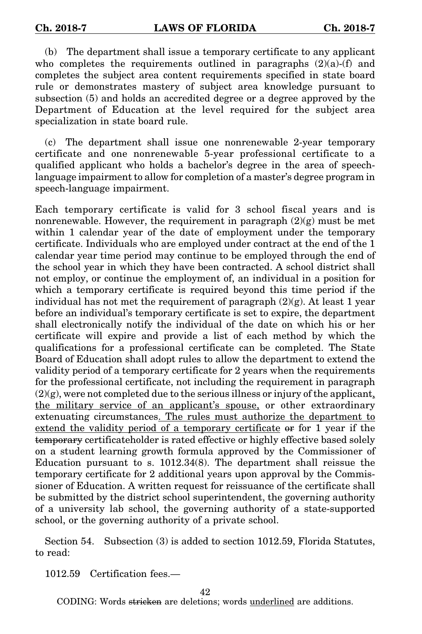(b) The department shall issue a temporary certificate to any applicant who completes the requirements outlined in paragraphs  $(2)(a)$ -(f) and completes the subject area content requirements specified in state board rule or demonstrates mastery of subject area knowledge pursuant to subsection (5) and holds an accredited degree or a degree approved by the Department of Education at the level required for the subject area specialization in state board rule.

(c) The department shall issue one nonrenewable 2-year temporary certificate and one nonrenewable 5-year professional certificate to a qualified applicant who holds a bachelor's degree in the area of speechlanguage impairment to allow for completion of a master's degree program in speech-language impairment.

Each temporary certificate is valid for 3 school fiscal years and is nonrenewable. However, the requirement in paragraph  $(2)(g)$  must be met within 1 calendar year of the date of employment under the temporary certificate. Individuals who are employed under contract at the end of the 1 calendar year time period may continue to be employed through the end of the school year in which they have been contracted. A school district shall not employ, or continue the employment of, an individual in a position for which a temporary certificate is required beyond this time period if the individual has not met the requirement of paragraph  $(2)(g)$ . At least 1 year before an individual's temporary certificate is set to expire, the department shall electronically notify the individual of the date on which his or her certificate will expire and provide a list of each method by which the qualifications for a professional certificate can be completed. The State Board of Education shall adopt rules to allow the department to extend the validity period of a temporary certificate for 2 years when the requirements for the professional certificate, not including the requirement in paragraph  $(2)(g)$ , were not completed due to the serious illness or injury of the applicant, the military service of an applicant's spouse, or other extraordinary extenuating circumstances. The rules must authorize the department to extend the validity period of a temporary certificate or for 1 year if the temporary certificateholder is rated effective or highly effective based solely on a student learning growth formula approved by the Commissioner of Education pursuant to s. 1012.34(8). The department shall reissue the temporary certificate for 2 additional years upon approval by the Commissioner of Education. A written request for reissuance of the certificate shall be submitted by the district school superintendent, the governing authority of a university lab school, the governing authority of a state-supported school, or the governing authority of a private school.

Section 54. Subsection (3) is added to section 1012.59, Florida Statutes, to read:

1012.59 Certification fees.—

42